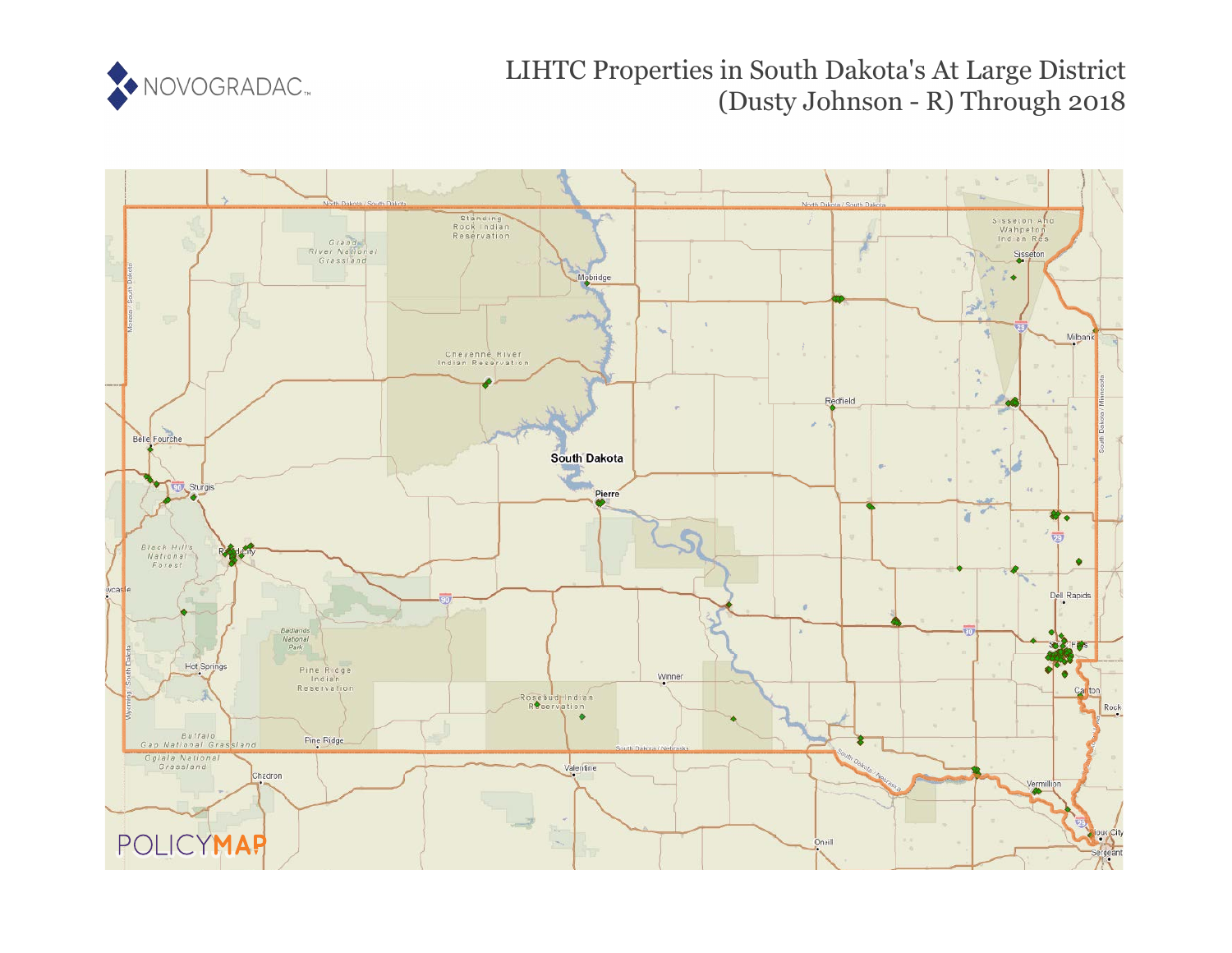

# LIHTC Properties in South Dakota's At Large District (Dusty Johnson - R) Through 2018

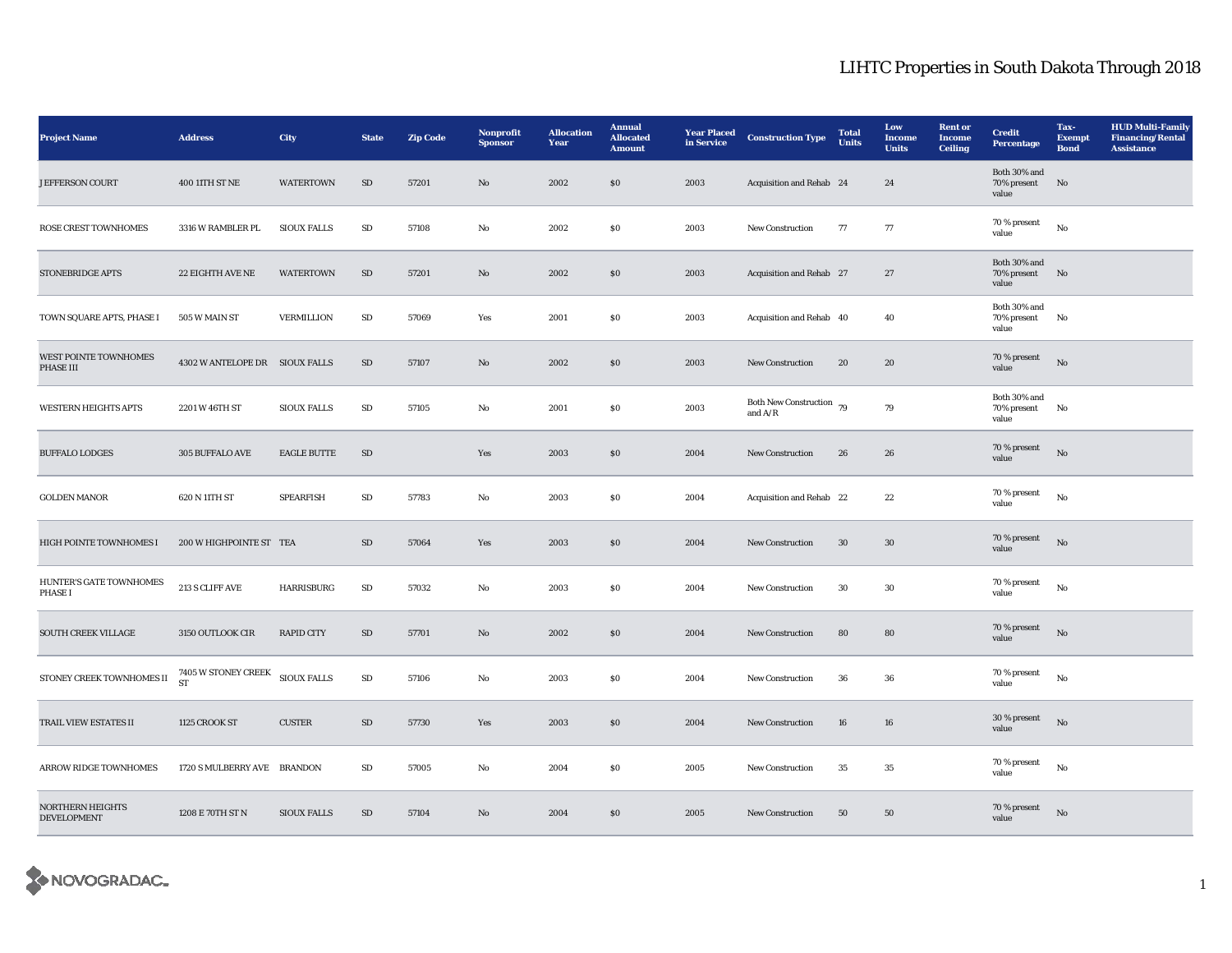| <b>Project Name</b>                           | <b>Address</b>                                           | City               | <b>State</b> | <b>Zip Code</b> | Nonprofit<br><b>Sponsor</b> | <b>Allocation</b><br>Year | <b>Annual</b><br><b>Allocated</b><br><b>Amount</b> | <b>Year Placed</b><br>in Service | <b>Construction Type</b>              | <b>Total</b><br>Units | Low<br><b>Income</b><br><b>Units</b> | <b>Rent or</b><br><b>Income</b><br>Ceiling | <b>Credit</b><br>Percentage             | Tax-<br><b>Exempt</b><br><b>Bond</b> | <b>HUD Multi-Family</b><br><b>Financing/Rental</b><br><b>Assistance</b> |
|-----------------------------------------------|----------------------------------------------------------|--------------------|--------------|-----------------|-----------------------------|---------------------------|----------------------------------------------------|----------------------------------|---------------------------------------|-----------------------|--------------------------------------|--------------------------------------------|-----------------------------------------|--------------------------------------|-------------------------------------------------------------------------|
| <b>JEFFERSON COURT</b>                        | 400 11TH ST NE                                           | <b>WATERTOWN</b>   | ${\rm SD}$   | 57201           | No                          | 2002                      | \$0\$                                              | 2003                             | Acquisition and Rehab 24              |                       | 24                                   |                                            | Both 30% and<br>70% present<br>value    | $\mathbf{N}\mathbf{o}$               |                                                                         |
| ROSE CREST TOWNHOMES                          | 3316 W RAMBLER PL                                        | <b>SIOUX FALLS</b> | ${\rm SD}$   | 57108           | $\rm No$                    | 2002                      | ${\bf S0}$                                         | 2003                             | New Construction                      | 77                    | 77                                   |                                            | 70 % present<br>value                   | $_{\rm No}$                          |                                                                         |
| <b>STONEBRIDGE APTS</b>                       | 22 EIGHTH AVE NE                                         | <b>WATERTOWN</b>   | SD           | 57201           | $\mathbf{No}$               | 2002                      | $\$0$                                              | 2003                             | Acquisition and Rehab 27              |                       | 27                                   |                                            | Both 30% and<br>70% present<br>value    | No                                   |                                                                         |
| TOWN SQUARE APTS, PHASE I                     | 505 W MAIN ST                                            | <b>VERMILLION</b>  | SD           | 57069           | Yes                         | 2001                      | \$0\$                                              | 2003                             | Acquisition and Rehab 40              |                       | 40                                   |                                            | Both 30% and<br>70% present<br>value    | No                                   |                                                                         |
| WEST POINTE TOWNHOMES<br>PHASE III            | 4302 W ANTELOPE DR SIOUX FALLS                           |                    | ${\bf SD}$   | 57107           | No                          | 2002                      | \$0\$                                              | 2003                             | New Construction                      | 20                    | 20                                   |                                            | 70 % present<br>value                   | $_{\rm No}$                          |                                                                         |
| <b>WESTERN HEIGHTS APTS</b>                   | 2201 W 46TH ST                                           | <b>SIOUX FALLS</b> | SD           | 57105           | No                          | 2001                      | \$0\$                                              | 2003                             | Both New Construction 79<br>and $A/R$ |                       | 79                                   |                                            | Both $30\%$ and<br>70% present<br>value | No                                   |                                                                         |
| <b>BUFFALO LODGES</b>                         | 305 BUFFALO AVE                                          | <b>EAGLE BUTTE</b> | SD           |                 | Yes                         | 2003                      | $\$0$                                              | 2004                             | <b>New Construction</b>               | 26                    | 26                                   |                                            | 70 % present<br>value                   | $\rm No$                             |                                                                         |
| <b>GOLDEN MANOR</b>                           | 620 N 11TH ST                                            | <b>SPEARFISH</b>   | SD           | 57783           | No                          | 2003                      | \$0\$                                              | 2004                             | Acquisition and Rehab 22              |                       | 22                                   |                                            | 70 % present<br>value                   | No                                   |                                                                         |
| HIGH POINTE TOWNHOMES I                       | 200 W HIGHPOINTE ST TEA                                  |                    | SD           | 57064           | Yes                         | 2003                      | $\$0$                                              | 2004                             | New Construction                      | 30                    | 30                                   |                                            | 70 % present<br>value                   | No                                   |                                                                         |
| HUNTER'S GATE TOWNHOMES<br>PHASE I            | 213 S CLIFF AVE                                          | <b>HARRISBURG</b>  | ${\rm SD}$   | 57032           | $\rm No$                    | 2003                      | $\$0$                                              | 2004                             | <b>New Construction</b>               | 30                    | $30\,$                               |                                            | 70 % present<br>value                   | $_{\rm No}$                          |                                                                         |
| <b>SOUTH CREEK VILLAGE</b>                    | 3150 OUTLOOK CIR                                         | <b>RAPID CITY</b>  | SD           | 57701           | No                          | 2002                      | $\$0$                                              | 2004                             | New Construction                      | 80                    | ${\bf 80}$                           |                                            | 70 % present<br>value                   | No                                   |                                                                         |
| STONEY CREEK TOWNHOMES II                     | $7405$ W STONEY CREEK $$\,\, \rm{SIOUX}$ FALLS $\rm{ST}$ |                    | ${\rm SD}$   | 57106           | No                          | 2003                      | ${\bf S0}$                                         | 2004                             | <b>New Construction</b>               | 36                    | 36                                   |                                            | 70 % present<br>value                   | $_{\rm No}$                          |                                                                         |
| TRAIL VIEW ESTATES II                         | 1125 CROOK ST                                            | <b>CUSTER</b>      | $\rm SD$     | 57730           | Yes                         | 2003                      | \$0\$                                              | 2004                             | New Construction                      | 16                    | 16                                   |                                            | 30 % present<br>value                   | $\rm No$                             |                                                                         |
| <b>ARROW RIDGE TOWNHOMES</b>                  | 1720 S MULBERRY AVE BRANDON                              |                    | SD           | 57005           | No                          | 2004                      | ${\bf S0}$                                         | 2005                             | New Construction                      | 35                    | 35                                   |                                            | 70 % present<br>value                   | $_{\rm No}$                          |                                                                         |
| <b>NORTHERN HEIGHTS</b><br><b>DEVELOPMENT</b> | 1208 E 70TH ST N                                         | <b>SIOUX FALLS</b> | SD           | 57104           | No                          | 2004                      | \$0\$                                              | 2005                             | <b>New Construction</b>               | 50                    | 50                                   |                                            | 70 % present<br>value                   | No                                   |                                                                         |

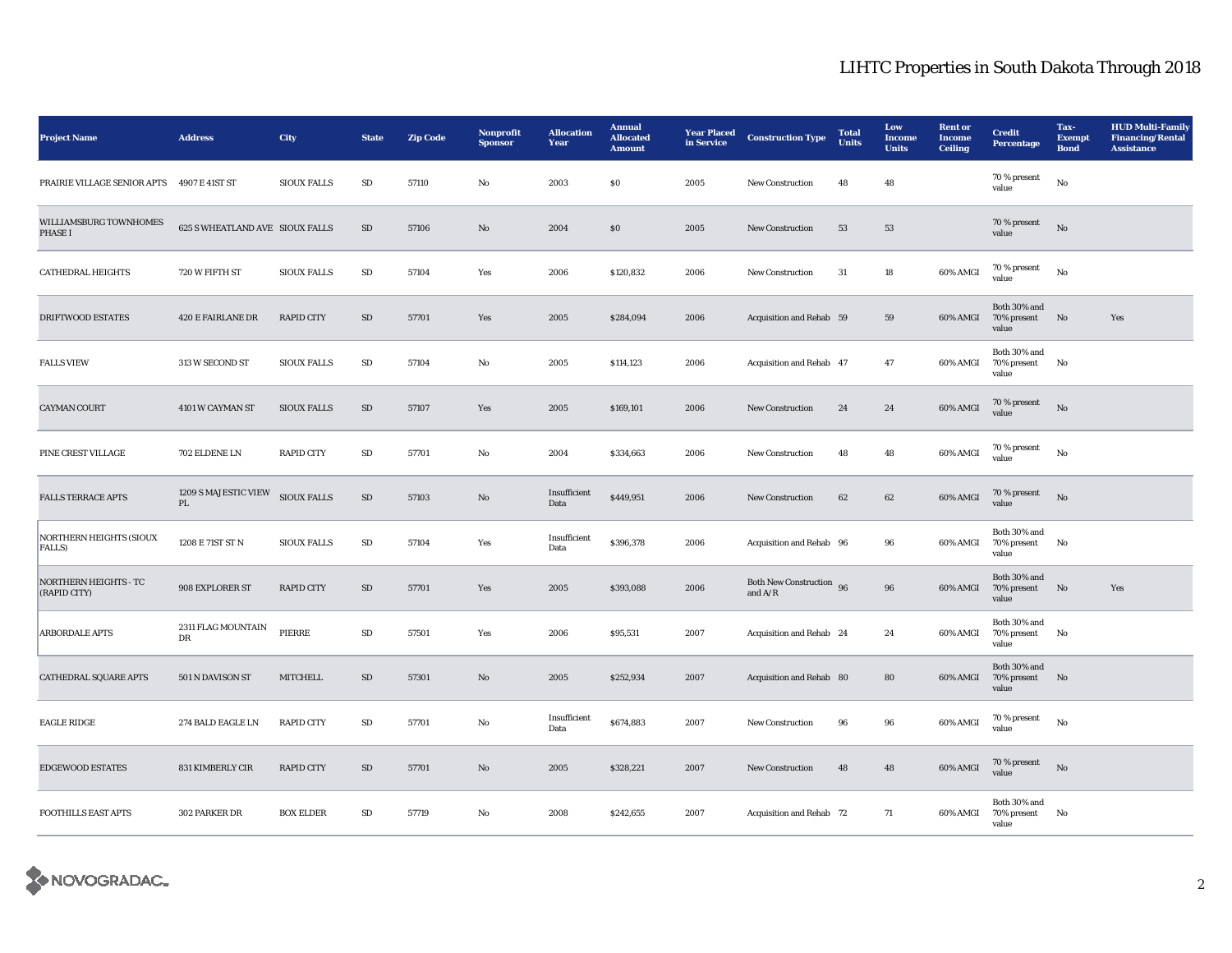| <b>Project Name</b>                          | <b>Address</b>                                 | <b>City</b>        | <b>State</b> | <b>Zip Code</b> | Nonprofit<br><b>Sponsor</b> | <b>Allocation</b><br>Year | <b>Annual</b><br><b>Allocated</b><br><b>Amount</b> | <b>Year Placed</b><br>in Service | <b>Construction Type</b>              | <b>Total</b><br><b>Units</b> | Low<br><b>Income</b><br><b>Units</b> | <b>Rent or</b><br>Income<br><b>Ceiling</b> | <b>Credit</b><br><b>Percentage</b>   | Tax-<br><b>Exempt</b><br><b>Bond</b> | <b>HUD Multi-Family</b><br><b>Financing/Rental</b><br><b>Assistance</b> |
|----------------------------------------------|------------------------------------------------|--------------------|--------------|-----------------|-----------------------------|---------------------------|----------------------------------------------------|----------------------------------|---------------------------------------|------------------------------|--------------------------------------|--------------------------------------------|--------------------------------------|--------------------------------------|-------------------------------------------------------------------------|
| PRAIRIE VILLAGE SENIOR APTS 4907 E 41ST ST   |                                                | <b>SIOUX FALLS</b> | $\rm SD$     | 57110           | No                          | 2003                      | \$0                                                | 2005                             | <b>New Construction</b>               | 48                           | 48                                   |                                            | 70 % present<br>value                | No                                   |                                                                         |
| WILLIAMSBURG TOWNHOMES<br>PHASE I            | 625 S WHEATLAND AVE SIOUX FALLS                |                    | $\rm SD$     | 57106           | $\mathbf{No}$               | 2004                      | S <sub>0</sub>                                     | 2005                             | New Construction                      | 53                           | 53                                   |                                            | 70 % present<br>value                | No                                   |                                                                         |
| <b>CATHEDRAL HEIGHTS</b>                     | 720 W FIFTH ST                                 | <b>SIOUX FALLS</b> | ${\rm SD}$   | 57104           | Yes                         | 2006                      | \$120,832                                          | 2006                             | <b>New Construction</b>               | 31                           | 18                                   | 60% AMGI                                   | 70 % present<br>value                | $_{\rm No}$                          |                                                                         |
| <b>DRIFTWOOD ESTATES</b>                     | <b>420 E FAIRLANE DR</b>                       | <b>RAPID CITY</b>  | SD           | 57701           | Yes                         | 2005                      | \$284,094                                          | 2006                             | Acquisition and Rehab 59              |                              | 59                                   | 60% AMGI                                   | Both 30% and<br>70% present<br>value | No                                   | Yes                                                                     |
| <b>FALLS VIEW</b>                            | 313 W SECOND ST                                | <b>SIOUX FALLS</b> | SD           | 57104           | No                          | 2005                      | \$114,123                                          | 2006                             | Acquisition and Rehab 47              |                              | 47                                   | 60% AMGI                                   | Both 30% and<br>70% present<br>value | No                                   |                                                                         |
| <b>CAYMAN COURT</b>                          | 4101 W CAYMAN ST                               | <b>SIOUX FALLS</b> | ${\rm SD}$   | 57107           | Yes                         | 2005                      | \$169,101                                          | 2006                             | <b>New Construction</b>               | $\bf 24$                     | 24                                   | 60% AMGI                                   | 70 % present<br>value                | $_{\rm No}$                          |                                                                         |
| PINE CREST VILLAGE                           | 702 ELDENE LN                                  | <b>RAPID CITY</b>  | ${\rm SD}$   | 57701           | $\rm No$                    | 2004                      | \$334,663                                          | 2006                             | New Construction                      | 48                           | 48                                   | 60% AMGI                                   | 70 % present<br>value                | $_{\rm No}$                          |                                                                         |
| <b>FALLS TERRACE APTS</b>                    | 1209 S MAJESTIC VIEW<br>$\mathbf{P}\mathbf{L}$ | SIOUX FALLS        | ${\rm SD}$   | 57103           | $\rm No$                    | Insufficient<br>Data      | \$449,951                                          | 2006                             | New Construction                      | 62                           | $\bf{62}$                            | 60% AMGI                                   | 70 % present<br>value                | $\rm No$                             |                                                                         |
| <b>NORTHERN HEIGHTS (SIOUX</b><br>FALLS)     | 1208 E 71ST ST N                               | <b>SIOUX FALLS</b> | $\rm SD$     | 57104           | Yes                         | Insufficient<br>Data      | \$396,378                                          | 2006                             | Acquisition and Rehab 96              |                              | 96                                   | 60% AMGI                                   | Both 30% and<br>70% present<br>value | No                                   |                                                                         |
| <b>NORTHERN HEIGHTS - TC</b><br>(RAPID CITY) | 908 EXPLORER ST                                | <b>RAPID CITY</b>  | SD           | 57701           | Yes                         | 2005                      | \$393,088                                          | 2006                             | Both New Construction 96<br>and $A/R$ |                              | 96                                   | 60% AMGI                                   | Both 30% and<br>70% present<br>value | No                                   | Yes                                                                     |
| <b>ARBORDALE APTS</b>                        | 2311 FLAG MOUNTAIN<br>DR                       | PIERRE             | ${\rm SD}$   | 57501           | Yes                         | 2006                      | \$95,531                                           | 2007                             | Acquisition and Rehab 24              |                              | 24                                   | 60% AMGI                                   | Both 30% and<br>70% present<br>value | No                                   |                                                                         |
| <b>CATHEDRAL SQUARE APTS</b>                 | 501 N DAVISON ST                               | <b>MITCHELL</b>    | ${\rm SD}$   | 57301           | $\mathbf{No}$               | 2005                      | \$252,934                                          | 2007                             | Acquisition and Rehab 80              |                              | 80                                   | 60% AMGI                                   | Both 30% and<br>70% present<br>value | No                                   |                                                                         |
| <b>EAGLE RIDGE</b>                           | 274 BALD EAGLE LN                              | <b>RAPID CITY</b>  | SD           | 57701           | No                          | Insufficient<br>Data      | \$674,883                                          | 2007                             | New Construction                      | 96                           | 96                                   | $60\%$ AMGI                                | 70 % present<br>value                | $_{\rm No}$                          |                                                                         |
| <b>EDGEWOOD ESTATES</b>                      | 831 KIMBERLY CIR                               | <b>RAPID CITY</b>  | SD           | 57701           | $\mathbf{No}$               | 2005                      | \$328,221                                          | 2007                             | New Construction                      | 48                           | 48                                   | 60% AMGI                                   | 70 % present<br>value                | No                                   |                                                                         |
| <b>FOOTHILLS EAST APTS</b>                   | 302 PARKER DR                                  | <b>BOX ELDER</b>   | ${\rm SD}$   | 57719           | No                          | 2008                      | \$242,655                                          | 2007                             | Acquisition and Rehab 72              |                              | 71                                   | 60% AMGI                                   | Both 30% and<br>70% present<br>value | No                                   |                                                                         |

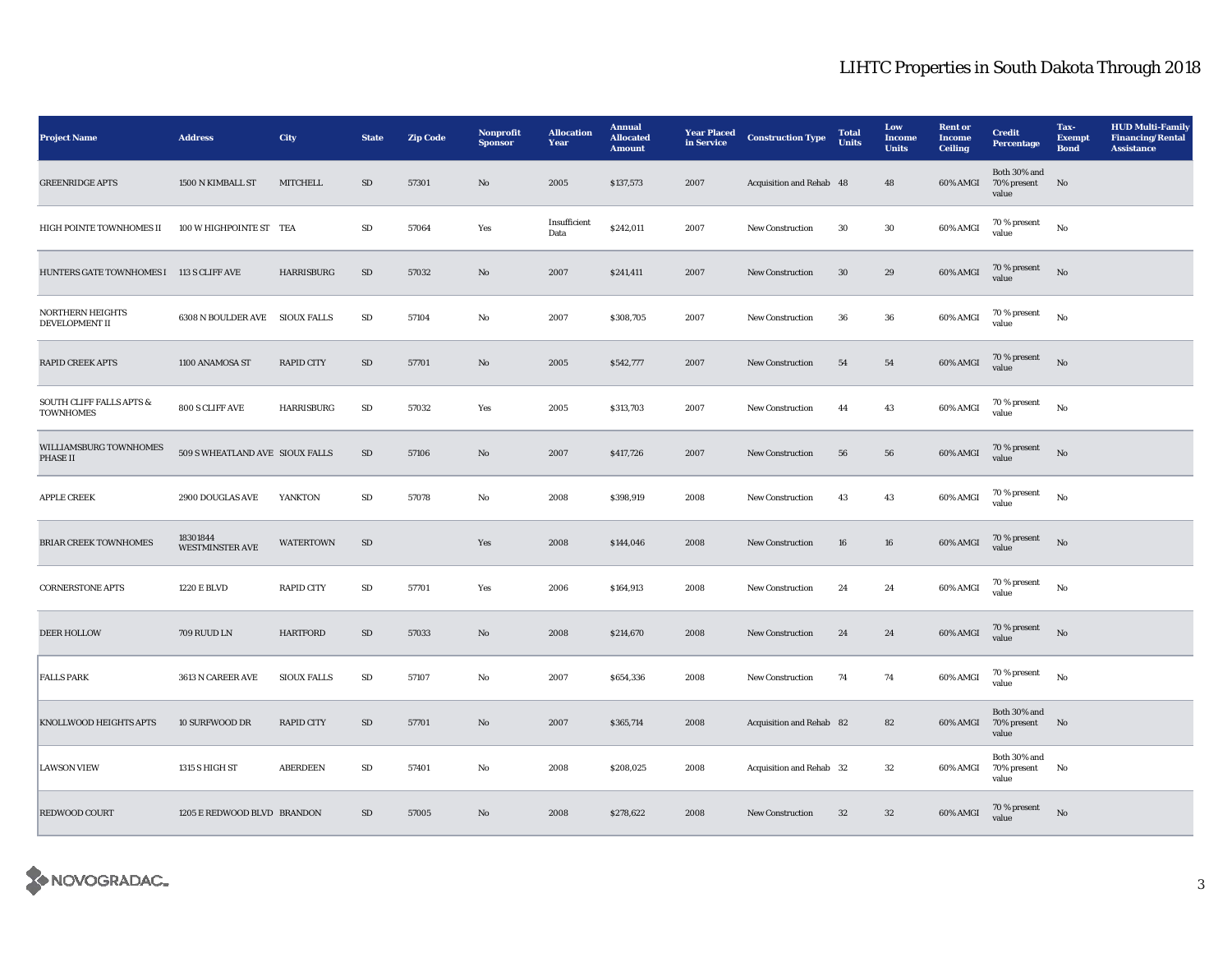| <b>Project Name</b>                                     | <b>Address</b>                     | <b>City</b>        | <b>State</b> | <b>Zip Code</b> | Nonprofit<br><b>Sponsor</b> | <b>Allocation</b><br>Year | <b>Annual</b><br><b>Allocated</b><br><b>Amount</b> | <b>Year Placed</b><br>in Service | <b>Construction Type</b> | <b>Total</b><br><b>Units</b> | Low<br>Income<br><b>Units</b> | <b>Rent or</b><br>Income<br><b>Ceiling</b> | <b>Credit</b><br><b>Percentage</b>      | Tax-<br><b>Exempt</b><br><b>Bond</b> | <b>HUD Multi-Family</b><br><b>Financing/Rental</b><br><b>Assistance</b> |
|---------------------------------------------------------|------------------------------------|--------------------|--------------|-----------------|-----------------------------|---------------------------|----------------------------------------------------|----------------------------------|--------------------------|------------------------------|-------------------------------|--------------------------------------------|-----------------------------------------|--------------------------------------|-------------------------------------------------------------------------|
| <b>GREENRIDGE APTS</b>                                  | 1500 N KIMBALL ST                  | <b>MITCHELL</b>    | SD           | 57301           | No                          | 2005                      | \$137,573                                          | 2007                             | Acquisition and Rehab 48 |                              | 48                            | 60% AMGI                                   | Both 30% and<br>70% present<br>value    | No                                   |                                                                         |
| HIGH POINTE TOWNHOMES II                                | 100 W HIGHPOINTE ST TEA            |                    | SD           | 57064           | Yes                         | Insufficient<br>Data      | \$242,011                                          | 2007                             | New Construction         | 30                           | 30                            | 60% AMGI                                   | 70 % present<br>value                   | No                                   |                                                                         |
| HUNTERS GATE TOWNHOMES I 113 S CLIFF AVE                |                                    | <b>HARRISBURG</b>  | ${\rm SD}$   | 57032           | $\mathbf{No}$               | 2007                      | \$241,411                                          | 2007                             | New Construction         | 30                           | $\bf 29$                      | 60% AMGI                                   | 70 % present<br>value                   | $_{\rm No}$                          |                                                                         |
| <b>NORTHERN HEIGHTS</b><br><b>DEVELOPMENT II</b>        | 6308 N BOULDER AVE SIOUX FALLS     |                    | $\rm SD$     | 57104           | $\rm No$                    | 2007                      | \$308,705                                          | 2007                             | New Construction         | 36                           | 36                            | 60% AMGI                                   | 70 % present<br>value                   | $_{\rm No}$                          |                                                                         |
| <b>RAPID CREEK APTS</b>                                 | 1100 ANAMOSA ST                    | <b>RAPID CITY</b>  | ${\bf SD}$   | 57701           | No                          | 2005                      | \$542,777                                          | 2007                             | <b>New Construction</b>  | 54                           | 54                            | 60% AMGI                                   | 70 % present<br>value                   | $\rm No$                             |                                                                         |
| <b>SOUTH CLIFF FALLS APTS &amp;</b><br><b>TOWNHOMES</b> | 800 S CLIFF AVE                    | <b>HARRISBURG</b>  | ${\rm SD}$   | 57032           | Yes                         | 2005                      | \$313,703                                          | 2007                             | New Construction         | 44                           | 43                            | 60% AMGI                                   | $70$ % present<br>value                 | No                                   |                                                                         |
| WILLIAMSBURG TOWNHOMES<br>PHASE II                      | 509 S WHEATLAND AVE SIOUX FALLS    |                    | $\rm SD$     | 57106           | No                          | 2007                      | \$417,726                                          | 2007                             | New Construction         | 56                           | 56                            | 60% AMGI                                   | $70\,\%$ present<br>value               | $\rm No$                             |                                                                         |
| <b>APPLE CREEK</b>                                      | 2900 DOUGLAS AVE                   | YANKTON            | SD           | 57078           | No                          | 2008                      | \$398,919                                          | 2008                             | New Construction         | 43                           | 43                            | 60% AMGI                                   | 70 % present<br>value                   | $\rm No$                             |                                                                         |
| <b>BRIAR CREEK TOWNHOMES</b>                            | 18301844<br><b>WESTMINSTER AVE</b> | <b>WATERTOWN</b>   | SD           |                 | Yes                         | 2008                      | \$144,046                                          | 2008                             | New Construction         | 16                           | 16                            | 60% AMGI                                   | 70 % present<br>value                   | $\rm No$                             |                                                                         |
| <b>CORNERSTONE APTS</b>                                 | <b>1220 E BLVD</b>                 | <b>RAPID CITY</b>  | $\rm SD$     | 57701           | Yes                         | 2006                      | \$164,913                                          | 2008                             | <b>New Construction</b>  | 24                           | 24                            | 60% AMGI                                   | $70$ % present<br>value                 | No                                   |                                                                         |
| <b>DEER HOLLOW</b>                                      | 709 RUUD LN                        | <b>HARTFORD</b>    | ${\rm SD}$   | 57033           | $\mathbf{No}$               | 2008                      | \$214,670                                          | 2008                             | New Construction         | 24                           | 24                            | 60% AMGI                                   | 70 % present<br>value                   | $\rm No$                             |                                                                         |
| <b>FALLS PARK</b>                                       | 3613 N CAREER AVE                  | <b>SIOUX FALLS</b> | SD           | 57107           | No                          | 2007                      | \$654,336                                          | 2008                             | <b>New Construction</b>  | 74                           | 74                            | 60% AMGI                                   | $70$ % present<br>value                 | No                                   |                                                                         |
| KNOLLWOOD HEIGHTS APTS                                  | 10 SURFWOOD DR                     | <b>RAPID CITY</b>  | ${\rm SD}$   | 57701           | No                          | 2007                      | \$365,714                                          | 2008                             | Acquisition and Rehab 82 |                              | 82                            | 60% AMGI                                   | Both 30% and<br>70% present No<br>value |                                      |                                                                         |
| <b>LAWSON VIEW</b>                                      | 1315 S HIGH ST                     | <b>ABERDEEN</b>    | ${\rm SD}$   | 57401           | No                          | 2008                      | \$208,025                                          | 2008                             | Acquisition and Rehab 32 |                              | 32                            | 60% AMGI                                   | Both 30% and<br>70% present<br>value    | No                                   |                                                                         |
| <b>REDWOOD COURT</b>                                    | 1205 E REDWOOD BLVD BRANDON        |                    | SD           | 57005           | No                          | 2008                      | \$278,622                                          | 2008                             | <b>New Construction</b>  | 32                           | 32                            | 60% AMGI                                   | 70 % present<br>value                   | No                                   |                                                                         |

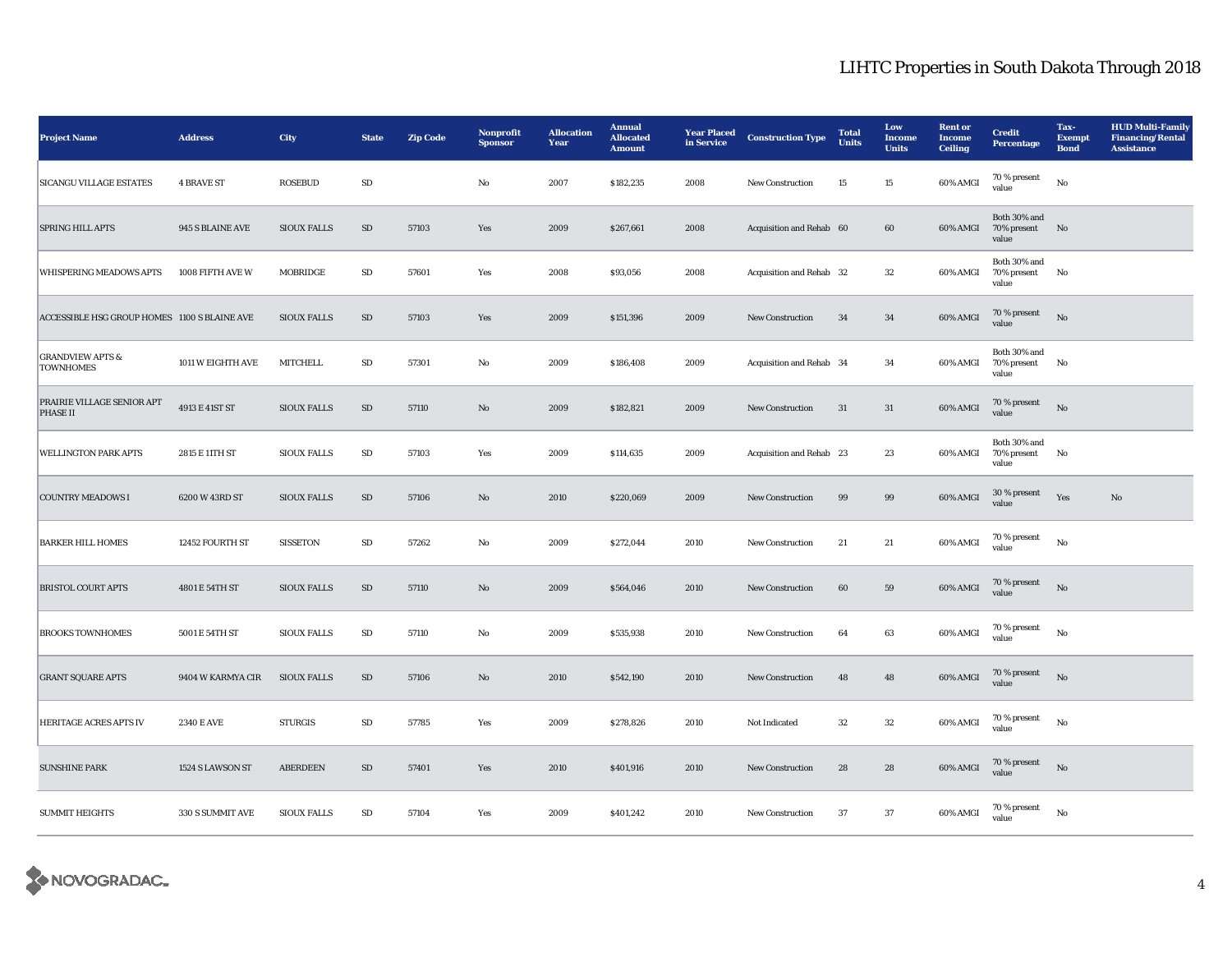| <b>Project Name</b>                             | <b>Address</b>    | City               | <b>State</b> | <b>Zip Code</b> | Nonprofit<br><b>Sponsor</b> | <b>Allocation</b><br>Year | <b>Annual</b><br><b>Allocated</b><br><b>Amount</b> | <b>Year Placed</b><br>in Service | <b>Construction Type</b> | <b>Total</b><br>Units | Low<br><b>Income</b><br><b>Units</b> | <b>Rent or</b><br><b>Income</b><br><b>Ceiling</b> | <b>Credit</b><br><b>Percentage</b>      | Tax-<br><b>Exempt</b><br><b>Bond</b> | <b>HUD Multi-Family</b><br><b>Financing/Rental</b><br><b>Assistance</b> |
|-------------------------------------------------|-------------------|--------------------|--------------|-----------------|-----------------------------|---------------------------|----------------------------------------------------|----------------------------------|--------------------------|-----------------------|--------------------------------------|---------------------------------------------------|-----------------------------------------|--------------------------------------|-------------------------------------------------------------------------|
| <b>SICANGU VILLAGE ESTATES</b>                  | <b>4 BRAVE ST</b> | <b>ROSEBUD</b>     | ${\rm SD}$   |                 | No                          | 2007                      | \$182,235                                          | 2008                             | New Construction         | 15                    | 15                                   | 60% AMGI                                          | $70\,\%$ present<br>value               | $_{\rm No}$                          |                                                                         |
| SPRING HILL APTS                                | 945 S BLAINE AVE  | <b>SIOUX FALLS</b> | $\rm SD$     | 57103           | Yes                         | 2009                      | \$267,661                                          | 2008                             | Acquisition and Rehab 60 |                       | 60                                   | $60\%$ AMGI                                       | Both 30% and<br>70% present No<br>value |                                      |                                                                         |
| WHISPERING MEADOWS APTS                         | 1008 FIFTH AVE W  | MOBRIDGE           | SD           | 57601           | Yes                         | 2008                      | \$93,056                                           | 2008                             | Acquisition and Rehab 32 |                       | 32                                   | 60% AMGI                                          | Both 30% and<br>70% present<br>value    | No                                   |                                                                         |
| ACCESSIBLE HSG GROUP HOMES 1100 S BLAINE AVE    |                   | <b>SIOUX FALLS</b> | $\rm SD$     | 57103           | Yes                         | 2009                      | \$151,396                                          | 2009                             | New Construction         | 34                    | 34                                   | 60% AMGI                                          | $70\,\%$ present<br>value               | No                                   |                                                                         |
| <b>GRANDVIEW APTS &amp;</b><br><b>TOWNHOMES</b> | 1011 W EIGHTH AVE | <b>MITCHELL</b>    | SD           | 57301           | No                          | 2009                      | \$186,408                                          | 2009                             | Acquisition and Rehab 34 |                       | 34                                   | 60% AMGI                                          | Both 30% and<br>70% present<br>value    | No                                   |                                                                         |
| PRAIRIE VILLAGE SENIOR APT<br><b>PHASE II</b>   | 4913 E 41ST ST    | <b>SIOUX FALLS</b> | SD           | 57110           | No                          | 2009                      | \$182,821                                          | 2009                             | <b>New Construction</b>  | 31                    | 31                                   | 60% AMGI                                          | 70 % present<br>value                   | $\mathbf{N}\mathbf{o}$               |                                                                         |
| <b>WELLINGTON PARK APTS</b>                     | 2815 E 11TH ST    | <b>SIOUX FALLS</b> | $\rm SD$     | 57103           | Yes                         | 2009                      | \$114,635                                          | 2009                             | Acquisition and Rehab 23 |                       | 23                                   | 60% AMGI                                          | Both 30% and<br>70% present<br>value    | No                                   |                                                                         |
| <b>COUNTRY MEADOWS I</b>                        | 6200 W 43RD ST    | <b>SIOUX FALLS</b> | SD           | 57106           | No                          | 2010                      | \$220,069                                          | 2009                             | <b>New Construction</b>  | 99                    | 99                                   | 60% AMGI                                          | 30 % present<br>value                   | Yes                                  | $\mathbf{N}\mathbf{o}$                                                  |
| <b>BARKER HILL HOMES</b>                        | 12452 FOURTH ST   | <b>SISSETON</b>    | ${\rm SD}$   | 57262           | No                          | 2009                      | \$272,044                                          | 2010                             | New Construction         | 21                    | $21\,$                               | 60% AMGI                                          | $70$ % present<br>value                 | $_{\rm No}$                          |                                                                         |
| <b>BRISTOL COURT APTS</b>                       | 4801 E 54TH ST    | <b>SIOUX FALLS</b> | $\rm SD$     | 57110           | No                          | 2009                      | \$564,046                                          | 2010                             | <b>New Construction</b>  | $60\,$                | 59                                   | 60% AMGI                                          | 70 % present<br>value                   | No                                   |                                                                         |
| <b>BROOKS TOWNHOMES</b>                         | 5001 E 54TH ST    | <b>SIOUX FALLS</b> | ${\bf SD}$   | 57110           | No                          | 2009                      | \$535,938                                          | 2010                             | New Construction         | 64                    | 63                                   | 60% AMGI                                          | 70 % present<br>value                   | $_{\rm No}$                          |                                                                         |
| <b>GRANT SQUARE APTS</b>                        | 9404 W KARMYA CIR | <b>SIOUX FALLS</b> | SD           | 57106           | $\mathbf{N}\mathbf{o}$      | 2010                      | \$542,190                                          | 2010                             | New Construction         | 48                    | 48                                   | 60% AMGI                                          | 70 % present<br>value                   | No                                   |                                                                         |
| HERITAGE ACRES APTS IV                          | <b>2340 E AVE</b> | <b>STURGIS</b>     | SD           | 57785           | Yes                         | 2009                      | \$278,826                                          | 2010                             | Not Indicated            | 32                    | 32                                   | $60\%$ AMGI                                       | 70 % present<br>value                   | No                                   |                                                                         |
| <b>SUNSHINE PARK</b>                            | 1524 S LAWSON ST  | <b>ABERDEEN</b>    | SD           | 57401           | Yes                         | 2010                      | \$401,916                                          | 2010                             | <b>New Construction</b>  | 28                    | 28                                   | 60% AMGI                                          | 70 % present<br>value                   | No                                   |                                                                         |
| <b>SUMMIT HEIGHTS</b>                           | 330 S SUMMIT AVE  | <b>SIOUX FALLS</b> | SD           | 57104           | Yes                         | 2009                      | \$401,242                                          | 2010                             | <b>New Construction</b>  | 37                    | 37                                   | 60% AMGI                                          | 70 % present<br>value                   | No                                   |                                                                         |

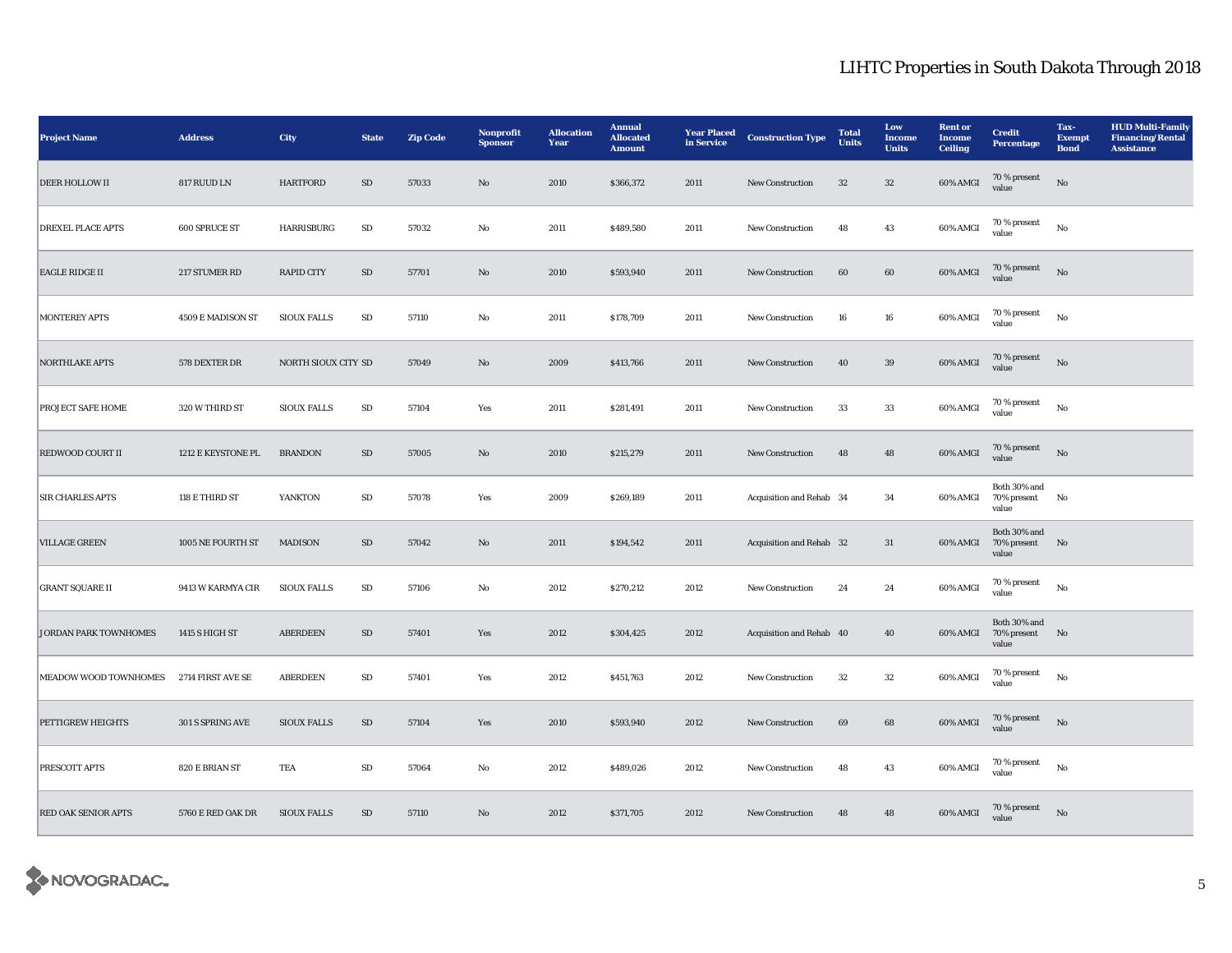| <b>Project Name</b>          | <b>Address</b>     | <b>City</b>         | <b>State</b> | <b>Zip Code</b> | Nonprofit<br><b>Sponsor</b> | <b>Allocation</b><br>Year | <b>Annual</b><br><b>Allocated</b><br><b>Amount</b> | <b>Year Placed</b><br>in Service | <b>Construction Type</b> | <b>Total</b><br><b>Units</b> | Low<br><b>Income</b><br><b>Units</b> | <b>Rent or</b><br><b>Income</b><br><b>Ceiling</b> | <b>Credit</b><br>Percentage             | Tax-<br><b>Exempt</b><br><b>Bond</b> | <b>HUD Multi-Family</b><br><b>Financing/Rental</b><br><b>Assistance</b> |
|------------------------------|--------------------|---------------------|--------------|-----------------|-----------------------------|---------------------------|----------------------------------------------------|----------------------------------|--------------------------|------------------------------|--------------------------------------|---------------------------------------------------|-----------------------------------------|--------------------------------------|-------------------------------------------------------------------------|
| <b>DEER HOLLOW II</b>        | 817 RUUD LN        | <b>HARTFORD</b>     | $\rm SD$     | 57033           | No                          | 2010                      | \$366,372                                          | 2011                             | <b>New Construction</b>  | 32                           | $32\,$                               | 60% AMGI                                          | $70\,\%$ present<br>value               | $_{\rm No}$                          |                                                                         |
| <b>DREXEL PLACE APTS</b>     | 600 SPRUCE ST      | HARRISBURG          | ${\bf SD}$   | 57032           | $\mathbf{No}$               | 2011                      | \$489,580                                          | 2011                             | New Construction         | 48                           | 43                                   | 60% AMGI                                          | $70$ % present<br>value                 | No                                   |                                                                         |
| <b>EAGLE RIDGE II</b>        | 217 STUMER RD      | <b>RAPID CITY</b>   | ${\rm SD}$   | 57701           | $\rm\thinspace No$          | 2010                      | \$593,940                                          | 2011                             | New Construction         | 60                           | $\bf{60}$                            | 60% AMGI                                          | 70 % present<br>value                   | $\rm No$                             |                                                                         |
| <b>MONTEREY APTS</b>         | 4509 E MADISON ST  | <b>SIOUX FALLS</b>  | SD           | 57110           | No                          | 2011                      | \$178,709                                          | 2011                             | New Construction         | 16                           | $16\,$                               | 60% AMGI                                          | $70$ % present<br>value                 | No                                   |                                                                         |
| <b>NORTHLAKE APTS</b>        | 578 DEXTER DR      | NORTH SIOUX CITY SD |              | 57049           | $\rm No$                    | 2009                      | \$413,766                                          | 2011                             | New Construction         | 40                           | $39\,$                               | 60% AMGI                                          | 70 % present<br>value                   | $_{\rm No}$                          |                                                                         |
| <b>PROJECT SAFE HOME</b>     | 320 W THIRD ST     | <b>SIOUX FALLS</b>  | SD           | 57104           | Yes                         | 2011                      | \$281,491                                          | 2011                             | <b>New Construction</b>  | 33                           | 33                                   | 60% AMGI                                          | 70 % present<br>value                   | No                                   |                                                                         |
| <b>REDWOOD COURT II</b>      | 1212 E KEYSTONE PL | <b>BRANDON</b>      | SD           | 57005           | $\mathbf{No}$               | 2010                      | \$215,279                                          | 2011                             | New Construction         | 48                           | 48                                   | 60% AMGI                                          | $70$ % present value                    | $\rm No$                             |                                                                         |
| <b>SIR CHARLES APTS</b>      | 118 E THIRD ST     | YANKTON             | SD           | 57078           | Yes                         | 2009                      | \$269,189                                          | 2011                             | Acquisition and Rehab 34 |                              | 34                                   | 60% AMGI                                          | Both $30\%$ and<br>70% present<br>value | N <sub>0</sub>                       |                                                                         |
| <b>VILLAGE GREEN</b>         | 1005 NE FOURTH ST  | <b>MADISON</b>      | SD           | 57042           | No                          | 2011                      | \$194,542                                          | 2011                             | Acquisition and Rehab 32 |                              | 31                                   | 60% AMGI                                          | Both 30% and<br>70% present<br>value    | N <sub>o</sub>                       |                                                                         |
| <b>GRANT SQUARE II</b>       | 9413 W KARMYA CIR  | <b>SIOUX FALLS</b>  | SD           | 57106           | No                          | 2012                      | \$270,212                                          | 2012                             | New Construction         | 24                           | 24                                   | 60% AMGI                                          | 70 % present<br>value                   | No                                   |                                                                         |
| <b>JORDAN PARK TOWNHOMES</b> | 1415 S HIGH ST     | <b>ABERDEEN</b>     | SD           | 57401           | Yes                         | 2012                      | \$304,425                                          | 2012                             | Acquisition and Rehab 40 |                              | 40                                   | 60% AMGI                                          | Both 30% and<br>70% present No<br>value |                                      |                                                                         |
| MEADOW WOOD TOWNHOMES        | 2714 FIRST AVE SE  | <b>ABERDEEN</b>     | ${\rm SD}$   | 57401           | Yes                         | 2012                      | \$451,763                                          | 2012                             | New Construction         | $32\,$                       | $32\,$                               | 60% AMGI                                          | $70\,\%$ present<br>value               | $_{\rm No}$                          |                                                                         |
| PETTIGREW HEIGHTS            | 301 S SPRING AVE   | <b>SIOUX FALLS</b>  | ${\rm SD}$   | 57104           | Yes                         | 2010                      | \$593,940                                          | 2012                             | <b>New Construction</b>  | 69                           | 68                                   | 60% AMGI                                          | 70 % present<br>value                   | No                                   |                                                                         |
| <b>PRESCOTT APTS</b>         | 820 E BRIAN ST     | TEA                 | ${\bf SD}$   | 57064           | $\mathbf {No}$              | 2012                      | \$489,026                                          | 2012                             | New Construction         | 48                           | 43                                   | 60% AMGI                                          | $70$ % present<br>value                 | $\rm No$                             |                                                                         |
| <b>RED OAK SENIOR APTS</b>   | 5760 E RED OAK DR  | <b>SIOUX FALLS</b>  | SD           | 57110           | No                          | 2012                      | \$371,705                                          | 2012                             | New Construction         | 48                           | 48                                   | 60% AMGI                                          | 70 % present<br>value                   | No                                   |                                                                         |

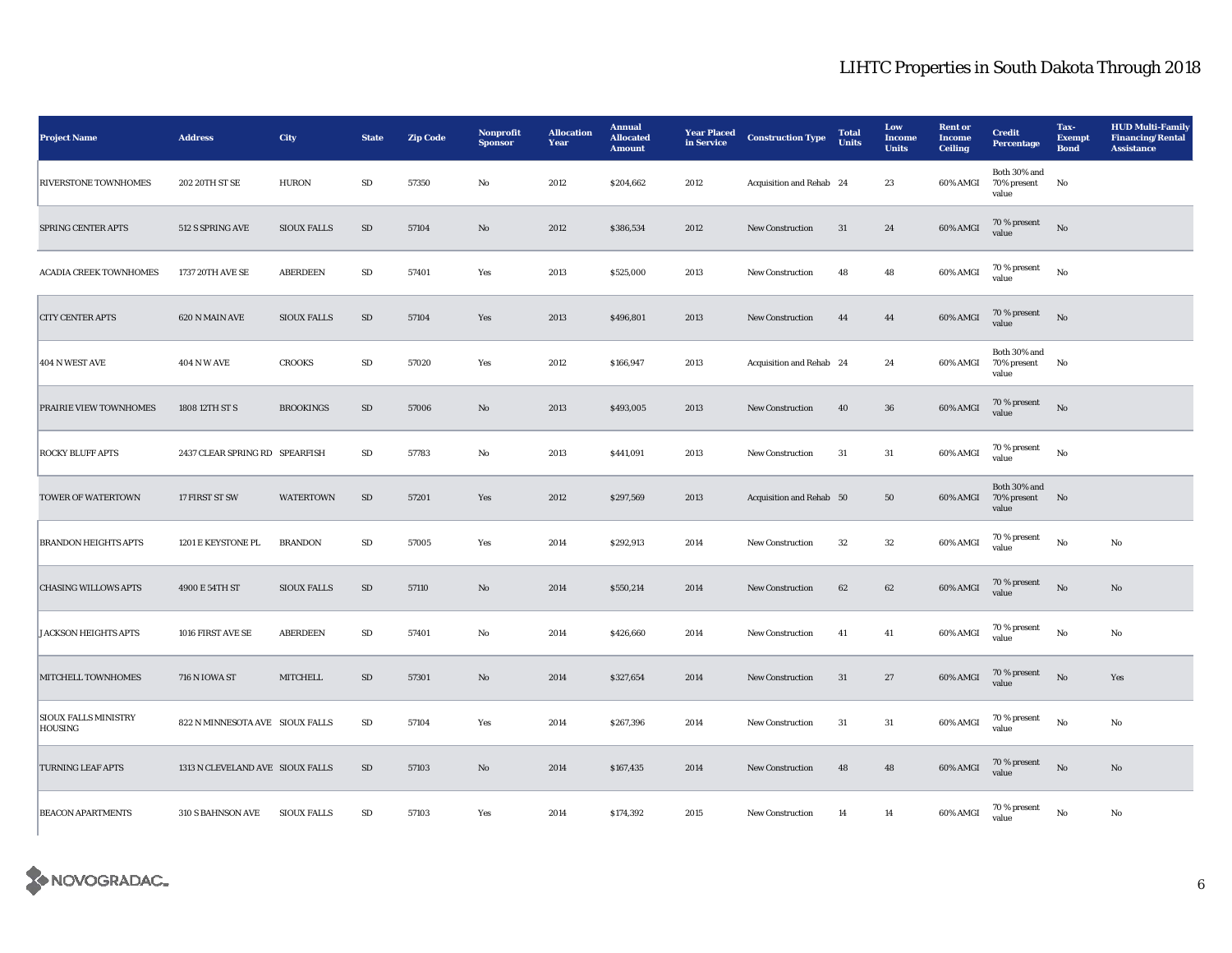| <b>Project Name</b>                           | <b>Address</b>                   | City               | <b>State</b> | <b>Zip Code</b> | Nonprofit<br><b>Sponsor</b> | <b>Allocation</b><br>Year | <b>Annual</b><br><b>Allocated</b><br><b>Amount</b> | <b>Year Placed</b><br>in Service | <b>Construction Type</b> | <b>Total</b><br><b>Units</b> | Low<br><b>Income</b><br><b>Units</b> | <b>Rent or</b><br><b>Income</b><br><b>Ceiling</b> | <b>Credit</b><br>Percentage          | Tax-<br><b>Exempt</b><br><b>Bond</b> | <b>HUD Multi-Family</b><br><b>Financing/Rental</b><br><b>Assistance</b> |
|-----------------------------------------------|----------------------------------|--------------------|--------------|-----------------|-----------------------------|---------------------------|----------------------------------------------------|----------------------------------|--------------------------|------------------------------|--------------------------------------|---------------------------------------------------|--------------------------------------|--------------------------------------|-------------------------------------------------------------------------|
| RIVERSTONE TOWNHOMES                          | 202 20TH ST SE                   | <b>HURON</b>       | ${\bf SD}$   | 57350           | No                          | 2012                      | \$204,662                                          | 2012                             | Acquisition and Rehab 24 |                              | 23                                   | 60% AMGI                                          | Both 30% and<br>70% present<br>value | No                                   |                                                                         |
| SPRING CENTER APTS                            | 512 S SPRING AVE                 | <b>SIOUX FALLS</b> | SD           | 57104           | $\mathbf{No}$               | 2012                      | \$386,534                                          | 2012                             | New Construction         | 31                           | 24                                   | 60% AMGI                                          | $70$ % present<br>value              | $\mathbf{N}\mathbf{o}$               |                                                                         |
| ACADIA CREEK TOWNHOMES                        | 1737 20TH AVE SE                 | <b>ABERDEEN</b>    | SD           | 57401           | Yes                         | 2013                      | \$525,000                                          | 2013                             | <b>New Construction</b>  | 48                           | 48                                   | 60% AMGI                                          | 70 % present<br>value                | $\mathbf {No}$                       |                                                                         |
| <b>CITY CENTER APTS</b>                       | 620 N MAIN AVE                   | <b>SIOUX FALLS</b> | SD           | 57104           | Yes                         | 2013                      | \$496,801                                          | 2013                             | New Construction         | 44                           | 44                                   | 60% AMGI                                          | 70 % present<br>value                | No                                   |                                                                         |
| 404 N WEST AVE                                | <b>404 N W AVE</b>               | <b>CROOKS</b>      | ${\bf SD}$   | 57020           | Yes                         | 2012                      | \$166,947                                          | 2013                             | Acquisition and Rehab 24 |                              | 24                                   | 60% AMGI                                          | Both 30% and<br>70% present<br>value | No                                   |                                                                         |
| PRAIRIE VIEW TOWNHOMES                        | 1808 12TH ST S                   | <b>BROOKINGS</b>   | SD           | 57006           | $\rm No$                    | 2013                      | \$493,005                                          | 2013                             | New Construction         | 40                           | ${\bf 36}$                           | 60% AMGI                                          | 70 % present<br>value                | $\rm \bf No$                         |                                                                         |
| ROCKY BLUFF APTS                              | 2437 CLEAR SPRING RD SPEARFISH   |                    | SD           | 57783           | $\rm No$                    | 2013                      | \$441,091                                          | 2013                             | New Construction         | 31                           | 31                                   | 60% AMGI                                          | 70 % present<br>value                | $_{\rm No}$                          |                                                                         |
| TOWER OF WATERTOWN                            | 17 FIRST ST SW                   | <b>WATERTOWN</b>   | ${\bf SD}$   | 57201           | Yes                         | 2012                      | \$297,569                                          | 2013                             | Acquisition and Rehab 50 |                              | $50\,$                               | $60\%$ AMGI                                       | Both 30% and<br>70% present<br>value | N <sub>0</sub>                       |                                                                         |
| <b>BRANDON HEIGHTS APTS</b>                   | 1201 E KEYSTONE PL               | <b>BRANDON</b>     | SD           | 57005           | Yes                         | 2014                      | \$292,913                                          | 2014                             | New Construction         | $32\,$                       | 32                                   | 60% AMGI                                          | 70 % present<br>value                | No                                   | $_{\rm No}$                                                             |
| <b>CHASING WILLOWS APTS</b>                   | 4900 E 54TH ST                   | <b>SIOUX FALLS</b> | SD           | 57110           | $\mathbf{No}$               | 2014                      | \$550,214                                          | 2014                             | New Construction         | 62                           | 62                                   | 60% AMGI                                          | 70 % present<br>value                | $_{\rm No}$                          | No                                                                      |
| <b>JACKSON HEIGHTS APTS</b>                   | 1016 FIRST AVE SE                | <b>ABERDEEN</b>    | SD           | 57401           | $\mathbf{No}$               | 2014                      | \$426,660                                          | 2014                             | New Construction         | 41                           | 41                                   | 60% AMGI                                          | 70 % present<br>value                | $_{\rm No}$                          | No                                                                      |
| MITCHELL TOWNHOMES                            | <b>716 N IOWA ST</b>             | <b>MITCHELL</b>    | ${\rm SD}$   | 57301           | $\mathbf{No}$               | 2014                      | \$327,654                                          | 2014                             | New Construction         | 31                           | $27\,$                               | 60% AMGI                                          | 70 % present<br>value                | No                                   | Yes                                                                     |
| <b>SIOUX FALLS MINISTRY</b><br><b>HOUSING</b> | 822 N MINNESOTA AVE SIOUX FALLS  |                    | SD           | 57104           | Yes                         | 2014                      | \$267,396                                          | 2014                             | New Construction         | $31\,$                       | $31\,$                               | 60% AMGI                                          | 70 % present<br>value                | $_{\rm No}$                          | $_{\rm No}$                                                             |
| <b>TURNING LEAF APTS</b>                      | 1313 N CLEVELAND AVE SIOUX FALLS |                    | SD           | 57103           | $\mathbf{No}$               | 2014                      | \$167,435                                          | 2014                             | New Construction         | 48                           | 48                                   | 60% AMGI                                          | 70 % present<br>value                | $_{\rm No}$                          | No                                                                      |
| <b>BEACON APARTMENTS</b>                      | 310 S BAHNSON AVE                | <b>SIOUX FALLS</b> | ${\bf SD}$   | 57103           | Yes                         | 2014                      | \$174,392                                          | 2015                             | New Construction         | 14                           | 14                                   | 60% AMGI                                          | $70$ % present<br>value              | $_{\rm No}$                          | $\rm No$                                                                |

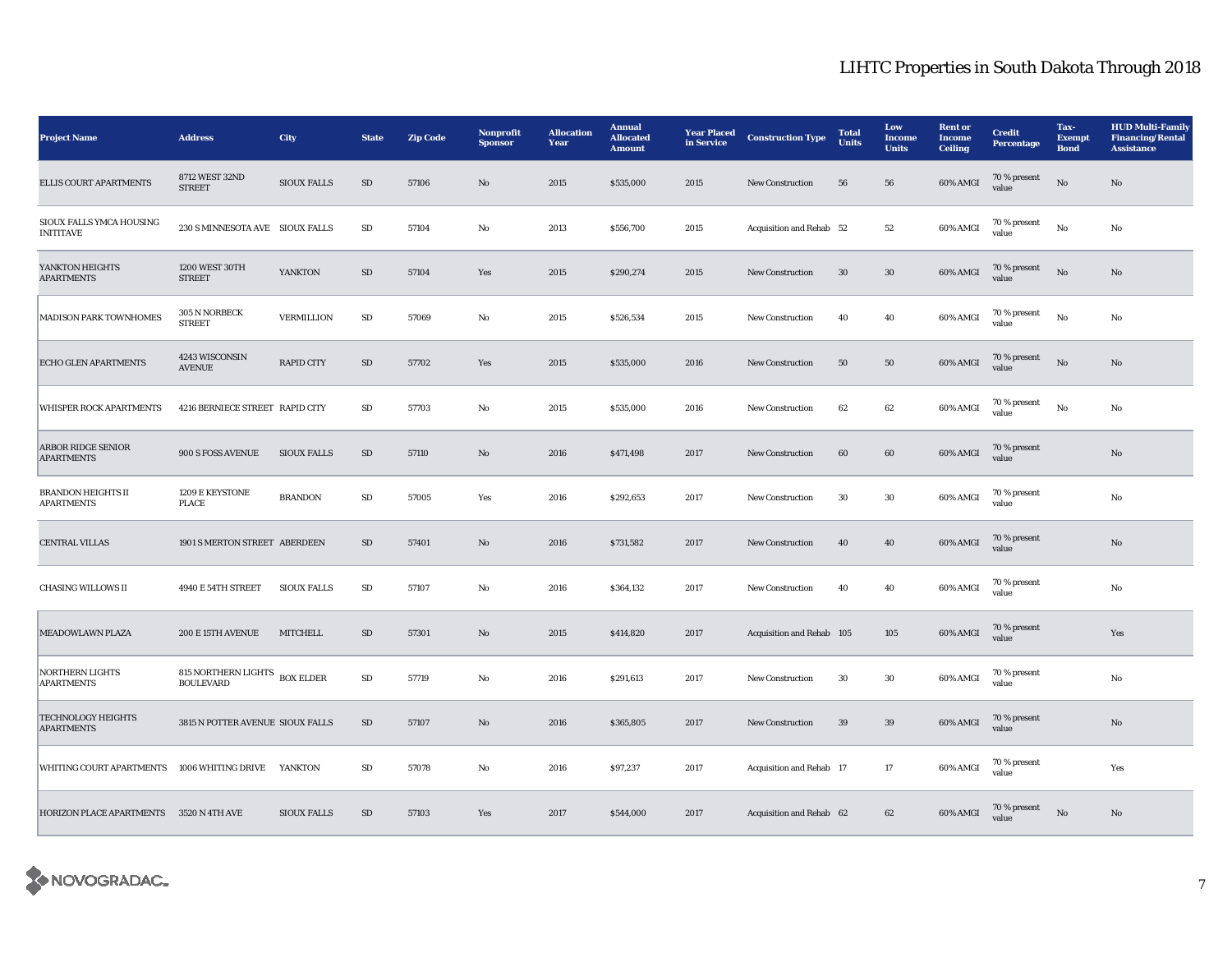| <b>Project Name</b>                            | <b>Address</b>                                    | <b>City</b>        | <b>State</b> | <b>Zip Code</b> | Nonprofit<br><b>Sponsor</b> | <b>Allocation</b><br>Year | <b>Annual</b><br><b>Allocated</b><br><b>Amount</b> | <b>Year Placed</b><br>in Service | <b>Construction Type</b>  | <b>Total</b><br><b>Units</b> | Low<br><b>Income</b><br><b>Units</b> | <b>Rent or</b><br><b>Income</b><br><b>Ceiling</b> | <b>Credit</b><br>Percentage | Tax-<br><b>Exempt</b><br><b>Bond</b> | <b>HUD Multi-Family</b><br><b>Financing/Rental</b><br><b>Assistance</b> |
|------------------------------------------------|---------------------------------------------------|--------------------|--------------|-----------------|-----------------------------|---------------------------|----------------------------------------------------|----------------------------------|---------------------------|------------------------------|--------------------------------------|---------------------------------------------------|-----------------------------|--------------------------------------|-------------------------------------------------------------------------|
| <b>ELLIS COURT APARTMENTS</b>                  | 8712 WEST 32ND<br><b>STREET</b>                   | <b>SIOUX FALLS</b> | $\rm SD$     | 57106           | No                          | 2015                      | \$535,000                                          | 2015                             | <b>New Construction</b>   | 56                           | 56                                   | 60% AMGI                                          | 70 % present<br>value       | No                                   | No                                                                      |
| SIOUX FALLS YMCA HOUSING<br><b>INITITAVE</b>   | 230 S MINNESOTA AVE SIOUX FALLS                   |                    | ${\rm SD}$   | 57104           | No                          | 2013                      | \$556,700                                          | 2015                             | Acquisition and Rehab 52  |                              | $52\,$                               | 60% AMGI                                          | 70 % present<br>value       | $_{\rm No}$                          | No                                                                      |
| YANKTON HEIGHTS<br><b>APARTMENTS</b>           | 1200 WEST 30TH<br><b>STREET</b>                   | YANKTON            | ${\rm SD}$   | 57104           | Yes                         | 2015                      | \$290,274                                          | 2015                             | <b>New Construction</b>   | $30\,$                       | $30\,$                               | 60% AMGI                                          | 70 % present<br>value       | $\rm No$                             | No                                                                      |
| MADISON PARK TOWNHOMES                         | 305 N NORBECK<br><b>STREET</b>                    | <b>VERMILLION</b>  | ${\rm SD}$   | 57069           | No                          | 2015                      | \$526,534                                          | 2015                             | New Construction          | 40                           | 40                                   | 60% AMGI                                          | 70 % present<br>value       | $_{\rm No}$                          | No                                                                      |
| ECHO GLEN APARTMENTS                           | 4243 WISCONSIN<br><b>AVENUE</b>                   | <b>RAPID CITY</b>  | ${\rm SD}$   | 57702           | Yes                         | 2015                      | \$535,000                                          | 2016                             | <b>New Construction</b>   | 50                           | 50                                   | 60% AMGI                                          | 70 % present<br>value       | $\rm No$                             | No                                                                      |
| WHISPER ROCK APARTMENTS                        | 4216 BERNIECE STREET RAPID CITY                   |                    | SD           | 57703           | No                          | 2015                      | \$535,000                                          | 2016                             | <b>New Construction</b>   | 62                           | 62                                   | 60% AMGI                                          | $70\,\%$ present<br>value   | No                                   | No                                                                      |
| <b>ARBOR RIDGE SENIOR</b><br><b>APARTMENTS</b> | 900 S FOSS AVENUE                                 | <b>SIOUX FALLS</b> | $\rm SD$     | 57110           | $\mathbf{N}\mathbf{o}$      | 2016                      | \$471,498                                          | 2017                             | New Construction          | 60                           | 60                                   | 60% AMGI                                          | 70 % present<br>value       |                                      | $\mathbf{N}\mathbf{o}$                                                  |
| <b>BRANDON HEIGHTS II</b><br><b>APARTMENTS</b> | 1209 E KEYSTONE<br><b>PLACE</b>                   | <b>BRANDON</b>     | $\rm SD$     | 57005           | Yes                         | 2016                      | \$292,653                                          | 2017                             | <b>New Construction</b>   | 30                           | 30                                   | 60% AMGI                                          | 70 % present<br>value       |                                      | No                                                                      |
| CENTRAL VILLAS                                 | 1901 S MERTON STREET ABERDEEN                     |                    | ${\rm SD}$   | 57401           | $\mathbf{No}$               | 2016                      | \$731,582                                          | 2017                             | New Construction          | 40                           | 40                                   | 60% AMGI                                          | 70 % present<br>value       |                                      | $\mathbf{N}\mathbf{o}$                                                  |
| <b>CHASING WILLOWS II</b>                      | 4940 E 54TH STREET                                | <b>SIOUX FALLS</b> | $\rm SD$     | 57107           | No                          | 2016                      | \$364,132                                          | 2017                             | <b>New Construction</b>   | 40                           | 40                                   | 60% AMGI                                          | 70 % present<br>value       |                                      | No                                                                      |
| MEADOWLAWN PLAZA                               | 200 E 15TH AVENUE                                 | <b>MITCHELL</b>    | ${\rm SD}$   | 57301           | $\mathbf{N}\mathbf{o}$      | 2015                      | \$414,820                                          | 2017                             | Acquisition and Rehab 105 |                              | $105\,$                              | 60% AMGI                                          | 70 % present<br>value       |                                      | Yes                                                                     |
| <b>NORTHERN LIGHTS</b><br><b>APARTMENTS</b>    | 815 NORTHERN LIGHTS BOX ELDER<br><b>BOULEVARD</b> |                    | $\rm SD$     | 57719           | No                          | 2016                      | \$291,613                                          | 2017                             | <b>New Construction</b>   | 30                           | 30                                   | 60% AMGI                                          | 70 % present<br>value       |                                      | No                                                                      |
| <b>TECHNOLOGY HEIGHTS</b><br><b>APARTMENTS</b> | 3815 N POTTER AVENUE SIOUX FALLS                  |                    | ${\rm SD}$   | 57107           | $\mathbf{N}\mathbf{o}$      | 2016                      | \$365,805                                          | 2017                             | <b>New Construction</b>   | 39                           | 39                                   | 60% AMGI                                          | 70 % present<br>value       |                                      | No                                                                      |
| WHITING COURT APARTMENTS                       | 1006 WHITING DRIVE                                | YANKTON            | $\rm SD$     | 57078           | No                          | 2016                      | \$97,237                                           | 2017                             | Acquisition and Rehab 17  |                              | $17\,$                               | 60% AMGI                                          | 70 % present<br>value       |                                      | Yes                                                                     |
| HORIZON PLACE APARTMENTS 3520 N 4TH AVE        |                                                   | <b>SIOUX FALLS</b> | $\rm SD$     | 57103           | Yes                         | 2017                      | \$544,000                                          | 2017                             | Acquisition and Rehab 62  |                              | 62                                   | 60% AMGI                                          | 70 % present<br>value       | No                                   | No                                                                      |

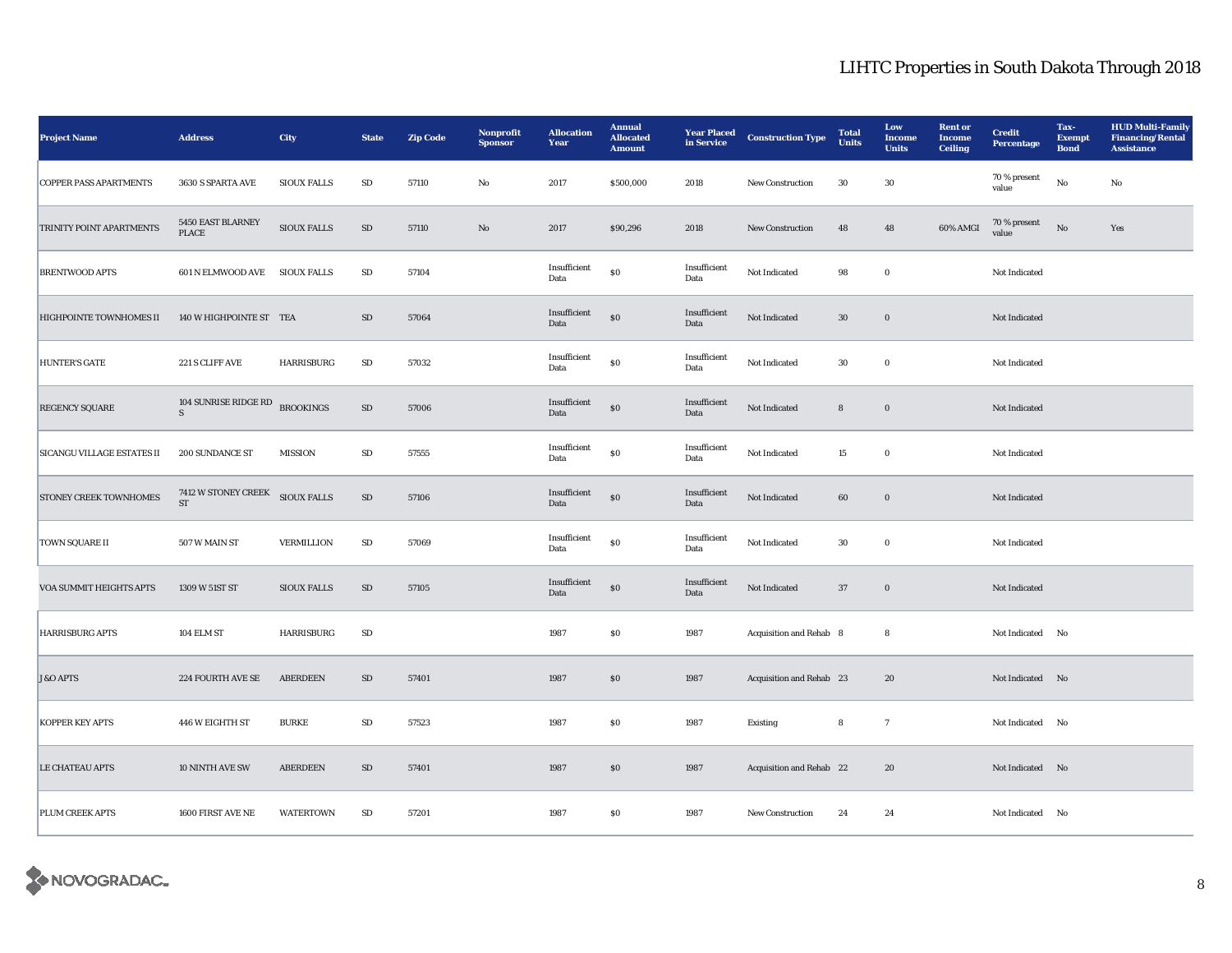| <b>Project Name</b>               | <b>Address</b>                   | City               | <b>State</b> | <b>Zip Code</b> | Nonprofit<br><b>Sponsor</b> | <b>Allocation</b><br>Year | <b>Annual</b><br><b>Allocated</b><br><b>Amount</b> | <b>Year Placed</b><br>in Service | <b>Construction Type</b> | <b>Total</b><br><b>Units</b> | Low<br><b>Income</b><br><b>Units</b> | <b>Rent or</b><br><b>Income</b><br><b>Ceiling</b> | <b>Credit</b><br>Percentage | Tax-<br><b>Exempt</b><br><b>Bond</b> | <b>HUD Multi-Family</b><br><b>Financing/Rental</b><br><b>Assistance</b> |
|-----------------------------------|----------------------------------|--------------------|--------------|-----------------|-----------------------------|---------------------------|----------------------------------------------------|----------------------------------|--------------------------|------------------------------|--------------------------------------|---------------------------------------------------|-----------------------------|--------------------------------------|-------------------------------------------------------------------------|
| <b>COPPER PASS APARTMENTS</b>     | 3630 S SPARTA AVE                | <b>SIOUX FALLS</b> | SD           | 57110           | $\rm No$                    | 2017                      | \$500,000                                          | 2018                             | <b>New Construction</b>  | 30                           | 30                                   |                                                   | 70 % present<br>value       | $\rm No$                             | No                                                                      |
| TRINITY POINT APARTMENTS          | 5450 EAST BLARNEY<br>PLACE       | <b>SIOUX FALLS</b> | ${\rm SD}$   | 57110           | $\rm No$                    | 2017                      | \$90,296                                           | 2018                             | New Construction         | 48                           | 48                                   | 60% AMGI                                          | $70$ % present<br>value     | $_{\rm No}$                          | Yes                                                                     |
| <b>BRENTWOOD APTS</b>             | 601 N ELMWOOD AVE SIOUX FALLS    |                    | ${\bf SD}$   | 57104           |                             | Insufficient<br>Data      | ${\bf S0}$                                         | Insufficient<br>Data             | Not Indicated            | 98                           | $\bf{0}$                             |                                                   | Not Indicated               |                                      |                                                                         |
| HIGHPOINTE TOWNHOMES II           | 140 W HIGHPOINTE ST TEA          |                    | ${\rm SD}$   | 57064           |                             | Insufficient<br>Data      | $\$0$                                              | Insufficient<br>Data             | Not Indicated            | $30\,$                       | $\boldsymbol{0}$                     |                                                   | Not Indicated               |                                      |                                                                         |
| <b>HUNTER'S GATE</b>              | 221 S CLIFF AVE                  | HARRISBURG         | ${\bf SD}$   | 57032           |                             | Insufficient<br>Data      | $\$0$                                              | Insufficient<br>Data             | Not Indicated            | $30\,$                       | $\boldsymbol{0}$                     |                                                   | Not Indicated               |                                      |                                                                         |
| REGENCY SQUARE                    | 104 SUNRISE RIDGE RD<br>S        | <b>BROOKINGS</b>   | ${\rm SD}$   | 57006           |                             | Insufficient<br>Data      | $\$0$                                              | Insufficient<br>Data             | Not Indicated            | 8                            | $\bf{0}$                             |                                                   | Not Indicated               |                                      |                                                                         |
| <b>SICANGU VILLAGE ESTATES II</b> | 200 SUNDANCE ST                  | <b>MISSION</b>     | ${\rm SD}$   | 57555           |                             | Insufficient<br>Data      | $\$0$                                              | Insufficient<br>Data             | Not Indicated            | 15                           | $\bf{0}$                             |                                                   | Not Indicated               |                                      |                                                                         |
| STONEY CREEK TOWNHOMES            | 7412 W STONEY CREEK<br><b>ST</b> | <b>SIOUX FALLS</b> | SD           | 57106           |                             | Insufficient<br>Data      | ${\bf S0}$                                         | Insufficient<br>Data             | Not Indicated            | 60                           | $\bf{0}$                             |                                                   | Not Indicated               |                                      |                                                                         |
| <b>TOWN SQUARE II</b>             | 507 W MAIN ST                    | <b>VERMILLION</b>  | ${\bf SD}$   | 57069           |                             | Insufficient<br>Data      | ${\bf S0}$                                         | Insufficient<br>Data             | Not Indicated            | $30\,$                       | $\boldsymbol{0}$                     |                                                   | Not Indicated               |                                      |                                                                         |
| VOA SUMMIT HEIGHTS APTS           | 1309 W 51ST ST                   | <b>SIOUX FALLS</b> | SD           | 57105           |                             | Insufficient<br>Data      | ${\bf S0}$                                         | Insufficient<br>Data             | Not Indicated            | 37                           | $\bf{0}$                             |                                                   | Not Indicated               |                                      |                                                                         |
| <b>HARRISBURG APTS</b>            | 104 ELM ST                       | <b>HARRISBURG</b>  | ${\bf SD}$   |                 |                             | 1987                      | ${\bf S0}$                                         | 1987                             | Acquisition and Rehab 8  |                              | $\bf8$                               |                                                   | Not Indicated No            |                                      |                                                                         |
| <b>J&amp;O APTS</b>               | 224 FOURTH AVE SE                | <b>ABERDEEN</b>    | ${\rm SD}$   | 57401           |                             | 1987                      | $\$0$                                              | 1987                             | Acquisition and Rehab 23 |                              | 20                                   |                                                   | Not Indicated No            |                                      |                                                                         |
| <b>KOPPER KEY APTS</b>            | 446 W EIGHTH ST                  | <b>BURKE</b>       | ${\rm SD}$   | 57523           |                             | 1987                      | $\$0$                                              | 1987                             | Existing                 | 8                            | $\tau$                               |                                                   | Not Indicated No            |                                      |                                                                         |
| <b>LE CHATEAU APTS</b>            | 10 NINTH AVE SW                  | <b>ABERDEEN</b>    | SD           | 57401           |                             | 1987                      | $\$0$                                              | 1987                             | Acquisition and Rehab 22 |                              | 20                                   |                                                   | Not Indicated No            |                                      |                                                                         |
| PLUM CREEK APTS                   | 1600 FIRST AVE NE                | <b>WATERTOWN</b>   | SD           | 57201           |                             | 1987                      | \$0                                                | 1987                             | New Construction         | 24                           | 24                                   |                                                   | Not Indicated No            |                                      |                                                                         |

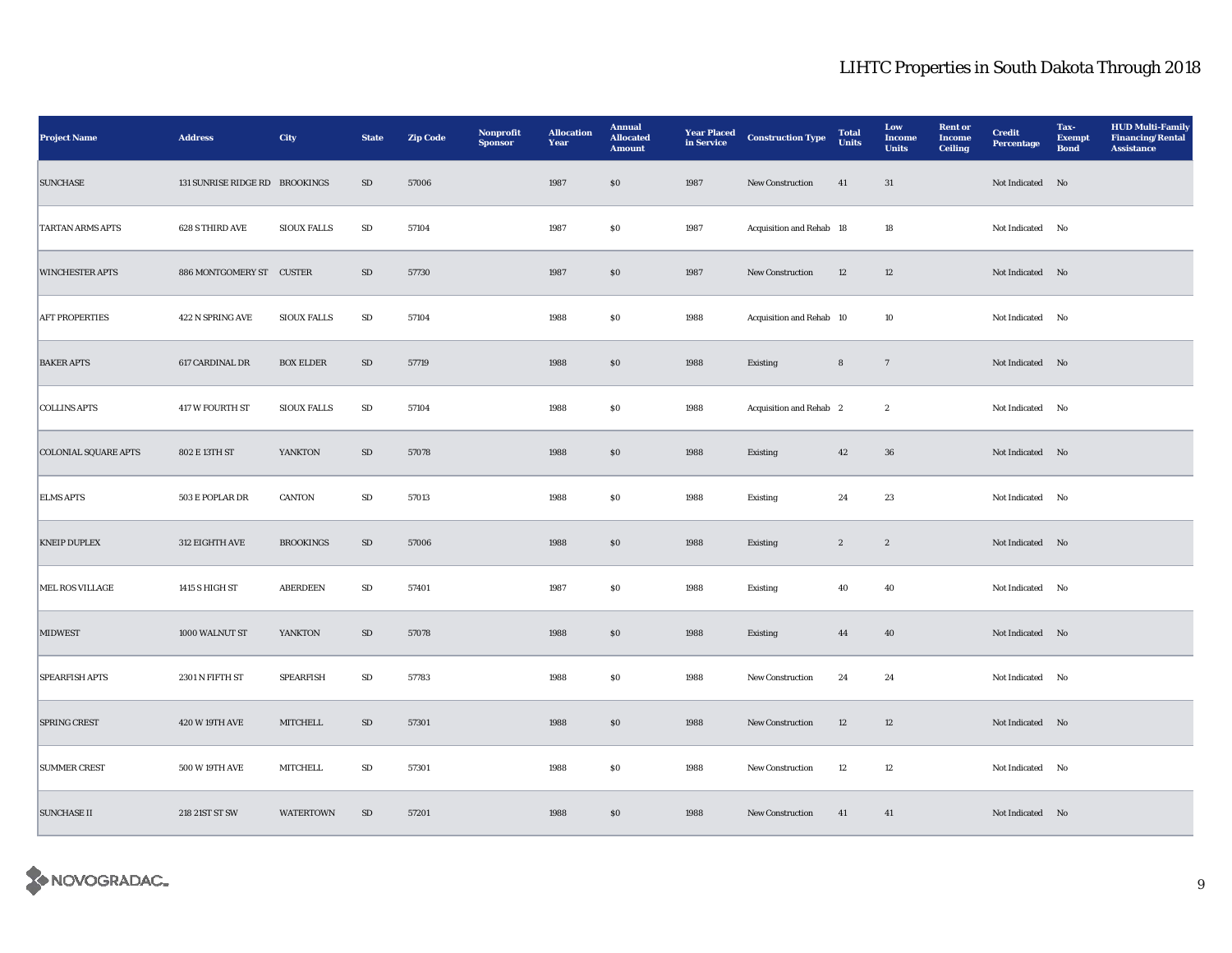| <b>Project Name</b>         | <b>Address</b>                 | <b>City</b>        | <b>State</b> | <b>Zip Code</b> | Nonprofit<br><b>Sponsor</b> | <b>Allocation</b><br>Year | <b>Annual</b><br><b>Allocated</b><br><b>Amount</b> | <b>Year Placed</b><br>in Service | <b>Construction Type</b> | <b>Total</b><br><b>Units</b> | Low<br><b>Income</b><br><b>Units</b> | <b>Rent or</b><br><b>Income</b><br><b>Ceiling</b> | <b>Credit</b><br><b>Percentage</b> | Tax-<br><b>Exempt</b><br><b>Bond</b> | <b>HUD Multi-Family</b><br><b>Financing/Rental</b><br><b>Assistance</b> |
|-----------------------------|--------------------------------|--------------------|--------------|-----------------|-----------------------------|---------------------------|----------------------------------------------------|----------------------------------|--------------------------|------------------------------|--------------------------------------|---------------------------------------------------|------------------------------------|--------------------------------------|-------------------------------------------------------------------------|
| <b>SUNCHASE</b>             | 131 SUNRISE RIDGE RD BROOKINGS |                    | SD           | 57006           |                             | 1987                      | \$0                                                | 1987                             | New Construction         | 41                           | 31                                   |                                                   | Not Indicated No                   |                                      |                                                                         |
| <b>TARTAN ARMS APTS</b>     | 628 S THIRD AVE                | <b>SIOUX FALLS</b> | ${\bf SD}$   | 57104           |                             | 1987                      | $\$0$                                              | 1987                             | Acquisition and Rehab 18 |                              | 18                                   |                                                   | Not Indicated No                   |                                      |                                                                         |
| <b>WINCHESTER APTS</b>      | 886 MONTGOMERY ST CUSTER       |                    | SD           | 57730           |                             | 1987                      | \$0                                                | 1987                             | New Construction         | 12                           | 12                                   |                                                   | Not Indicated No                   |                                      |                                                                         |
| <b>AFT PROPERTIES</b>       | 422 N SPRING AVE               | <b>SIOUX FALLS</b> | SD           | 57104           |                             | 1988                      | $\$0$                                              | 1988                             | Acquisition and Rehab 10 |                              | 10                                   |                                                   | Not Indicated No                   |                                      |                                                                         |
| <b>BAKER APTS</b>           | 617 CARDINAL DR                | <b>BOX ELDER</b>   | SD           | 57719           |                             | 1988                      | \$0                                                | 1988                             | Existing                 | $\bf8$                       | $7\phantom{.0}$                      |                                                   | Not Indicated No                   |                                      |                                                                         |
| <b>COLLINS APTS</b>         | <b>417 W FOURTH ST</b>         | <b>SIOUX FALLS</b> | SD           | 57104           |                             | 1988                      | \$0                                                | 1988                             | Acquisition and Rehab 2  |                              | $\mathbf{2}$                         |                                                   | Not Indicated No                   |                                      |                                                                         |
| <b>COLONIAL SQUARE APTS</b> | 802 E 13TH ST                  | YANKTON            | SD           | 57078           |                             | 1988                      | \$0                                                | 1988                             | Existing                 | 42                           | 36                                   |                                                   | Not Indicated No                   |                                      |                                                                         |
| <b>ELMS APTS</b>            | 503 E POPLAR DR                | <b>CANTON</b>      | SD           | 57013           |                             | 1988                      | \$0                                                | 1988                             | Existing                 | 24                           | 23                                   |                                                   | Not Indicated No                   |                                      |                                                                         |
| <b>KNEIP DUPLEX</b>         | 312 EIGHTH AVE                 | <b>BROOKINGS</b>   | SD           | 57006           |                             | 1988                      | \$0                                                | 1988                             | Existing                 | $\boldsymbol{2}$             | $\boldsymbol{2}$                     |                                                   | Not Indicated No                   |                                      |                                                                         |
| MEL ROS VILLAGE             | 1415 S HIGH ST                 | <b>ABERDEEN</b>    | SD           | 57401           |                             | 1987                      | \$0                                                | 1988                             | <b>Existing</b>          | 40                           | 40                                   |                                                   | Not Indicated No                   |                                      |                                                                         |
| <b>MIDWEST</b>              | 1000 WALNUT ST                 | YANKTON            | SD           | 57078           |                             | 1988                      | \$0                                                | 1988                             | Existing                 | 44                           | 40                                   |                                                   | Not Indicated No                   |                                      |                                                                         |
| <b>SPEARFISH APTS</b>       | 2301 N FIFTH ST                | <b>SPEARFISH</b>   | SD           | 57783           |                             | 1988                      | $\$0$                                              | 1988                             | New Construction         | 24                           | 24                                   |                                                   | Not Indicated No                   |                                      |                                                                         |
| <b>SPRING CREST</b>         | 420 W 19TH AVE                 | MITCHELL           | SD           | 57301           |                             | 1988                      | $\$0$                                              | 1988                             | New Construction         | 12                           | 12                                   |                                                   | Not Indicated No                   |                                      |                                                                         |
| <b>SUMMER CREST</b>         | 500 W 19TH AVE                 | MITCHELL           | ${\rm SD}$   | 57301           |                             | 1988                      | $\$0$                                              | 1988                             | New Construction         | 12                           | 12                                   |                                                   | Not Indicated No                   |                                      |                                                                         |
| <b>SUNCHASE II</b>          | 218 21ST ST SW                 | <b>WATERTOWN</b>   | SD           | 57201           |                             | 1988                      | \$0                                                | 1988                             | <b>New Construction</b>  | 41                           | 41                                   |                                                   | Not Indicated No                   |                                      |                                                                         |

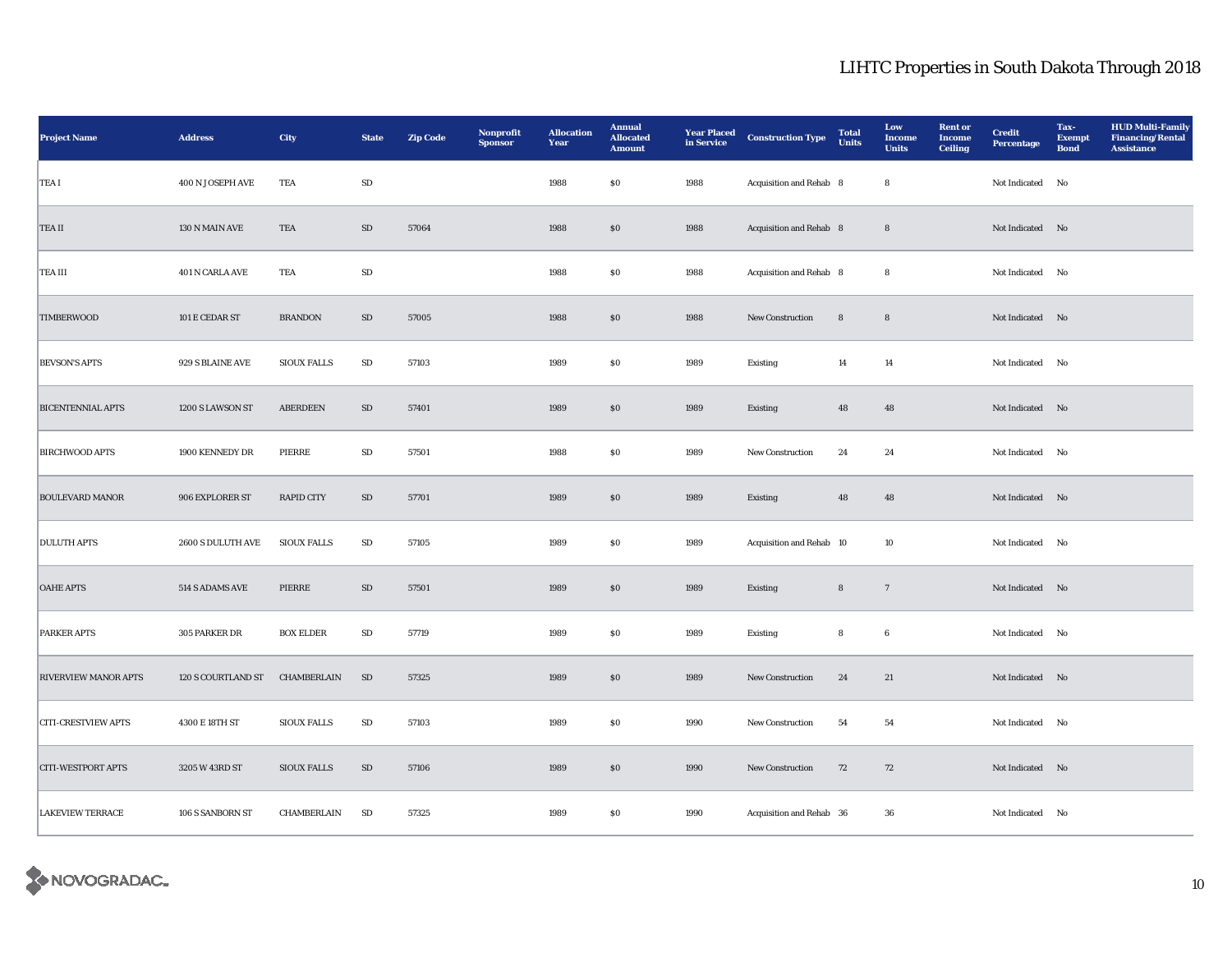| <b>Project Name</b>         | <b>Address</b>     | <b>City</b>        | <b>State</b> | <b>Zip Code</b> | Nonprofit<br><b>Sponsor</b> | <b>Allocation</b><br>Year | <b>Annual</b><br><b>Allocated</b><br><b>Amount</b> | <b>Year Placed</b><br>in Service | <b>Construction Type</b> | <b>Total</b><br>Units | Low<br><b>Income</b><br><b>Units</b> | <b>Rent or</b><br><b>Income</b><br><b>Ceiling</b> | <b>Credit</b><br>Percentage | Tax-<br><b>Exempt</b><br><b>Bond</b> | <b>HUD Multi-Family</b><br><b>Financing/Rental</b><br><b>Assistance</b> |
|-----------------------------|--------------------|--------------------|--------------|-----------------|-----------------------------|---------------------------|----------------------------------------------------|----------------------------------|--------------------------|-----------------------|--------------------------------------|---------------------------------------------------|-----------------------------|--------------------------------------|-------------------------------------------------------------------------|
| TEA I                       | 400 N JOSEPH AVE   | TEA                | SD           |                 |                             | 1988                      | $\$0$                                              | 1988                             | Acquisition and Rehab 8  |                       | $\bf8$                               |                                                   | Not Indicated $\quad$ No    |                                      |                                                                         |
| TEA II                      | 130 N MAIN AVE     | TEA                | $\rm SD$     | 57064           |                             | 1988                      | $\$0$                                              | 1988                             | Acquisition and Rehab 8  |                       | $\bf8$                               |                                                   | Not Indicated No            |                                      |                                                                         |
| TEA III                     | 401 N CARLA AVE    | TEA                | SD           |                 |                             | 1988                      | SO.                                                | 1988                             | Acquisition and Rehab 8  |                       | 8                                    |                                                   | Not Indicated No            |                                      |                                                                         |
| <b>TIMBERWOOD</b>           | 101 E CEDAR ST     | <b>BRANDON</b>     | $\rm SD$     | 57005           |                             | 1988                      | $\$0$                                              | 1988                             | <b>New Construction</b>  | 8                     | $\bf8$                               |                                                   | Not Indicated No            |                                      |                                                                         |
| <b>BEVSON'S APTS</b>        | 929 S BLAINE AVE   | <b>SIOUX FALLS</b> | ${\bf SD}$   | 57103           |                             | 1989                      | \$0                                                | 1989                             | Existing                 | 14                    | 14                                   |                                                   | Not Indicated No            |                                      |                                                                         |
| <b>BICENTENNIAL APTS</b>    | 1200 S LAWSON ST   | <b>ABERDEEN</b>    | $\rm SD$     | 57401           |                             | 1989                      | \$0                                                | 1989                             | <b>Existing</b>          | 48                    | 48                                   |                                                   | Not Indicated No            |                                      |                                                                         |
| <b>BIRCHWOOD APTS</b>       | 1900 KENNEDY DR    | PIERRE             | SD           | 57501           |                             | 1988                      | $\$0$                                              | 1989                             | New Construction         | 24                    | 24                                   |                                                   | Not Indicated No            |                                      |                                                                         |
| <b>BOULEVARD MANOR</b>      | 906 EXPLORER ST    | <b>RAPID CITY</b>  | SD           | 57701           |                             | 1989                      | S <sub>0</sub>                                     | 1989                             | Existing                 | 48                    | 48                                   |                                                   | Not Indicated No            |                                      |                                                                         |
| <b>DULUTH APTS</b>          | 2600 S DULUTH AVE  | <b>SIOUX FALLS</b> | SD           | 57105           |                             | 1989                      | $\$0$                                              | 1989                             | Acquisition and Rehab 10 |                       | 10                                   |                                                   | Not Indicated No            |                                      |                                                                         |
| <b>OAHE APTS</b>            | 514 S ADAMS AVE    | PIERRE             | $\rm SD$     | 57501           |                             | 1989                      | $\$0$                                              | 1989                             | Existing                 | $\bf8$                | $7\phantom{.0}$                      |                                                   | Not Indicated No            |                                      |                                                                         |
| <b>PARKER APTS</b>          | 305 PARKER DR      | <b>BOX ELDER</b>   | SD           | 57719           |                             | 1989                      | $\$0$                                              | 1989                             | Existing                 | 8                     | $6\phantom{.0}$                      |                                                   | Not Indicated No            |                                      |                                                                         |
| <b>RIVERVIEW MANOR APTS</b> | 120 S COURTLAND ST | CHAMBERLAIN        | SD           | 57325           |                             | 1989                      | $\$0$                                              | 1989                             | New Construction         | 24                    | 21                                   |                                                   | Not Indicated No            |                                      |                                                                         |
| <b>CITI-CRESTVIEW APTS</b>  | 4300 E 18TH ST     | <b>SIOUX FALLS</b> | SD           | 57103           |                             | 1989                      | \$0                                                | 1990                             | <b>New Construction</b>  | 54                    | 54                                   |                                                   | Not Indicated No            |                                      |                                                                         |
| <b>CITI-WESTPORT APTS</b>   | 3205 W 43RD ST     | <b>SIOUX FALLS</b> | SD           | 57106           |                             | 1989                      | \$0                                                | 1990                             | <b>New Construction</b>  | 72                    | 72                                   |                                                   | Not Indicated No            |                                      |                                                                         |
| <b>LAKEVIEW TERRACE</b>     | 106 S SANBORN ST   | CHAMBERLAIN        | SD           | 57325           |                             | 1989                      | \$0                                                | 1990                             | Acquisition and Rehab 36 |                       | 36                                   |                                                   | Not Indicated No            |                                      |                                                                         |

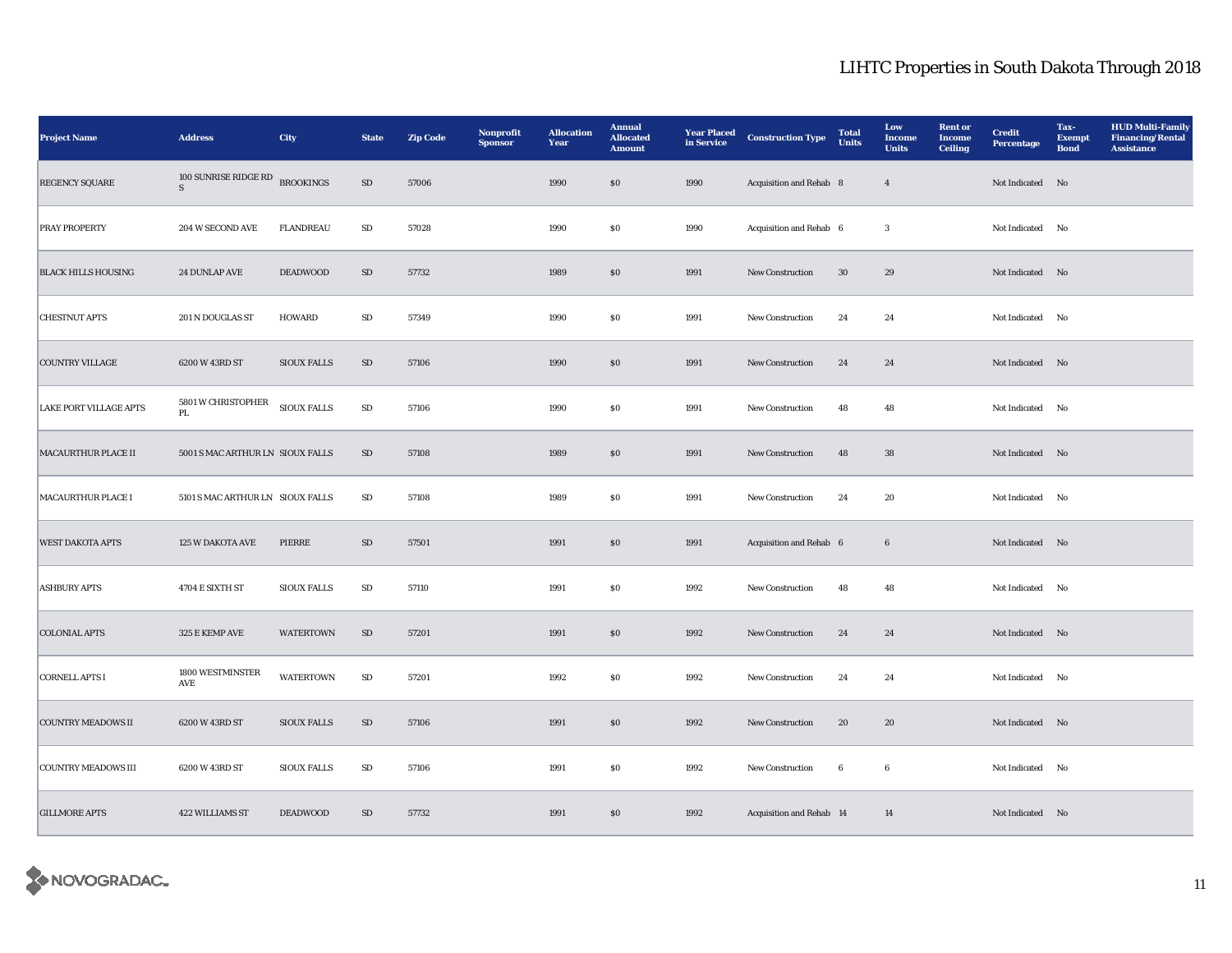| <b>Project Name</b>        | <b>Address</b>                   | City               | <b>State</b> | <b>Zip Code</b> | Nonprofit<br><b>Sponsor</b> | <b>Allocation</b><br>Year | <b>Annual</b><br><b>Allocated</b><br><b>Amount</b> | <b>Year Placed</b><br>in Service | <b>Construction Type</b> | <b>Total</b><br>Units | Low<br><b>Income</b><br><b>Units</b> | <b>Rent or</b><br><b>Income</b><br><b>Ceiling</b> | <b>Credit</b><br><b>Percentage</b> | Tax-<br><b>Exempt</b><br><b>Bond</b> | <b>HUD Multi-Family</b><br><b>Financing/Rental</b><br><b>Assistance</b> |
|----------------------------|----------------------------------|--------------------|--------------|-----------------|-----------------------------|---------------------------|----------------------------------------------------|----------------------------------|--------------------------|-----------------------|--------------------------------------|---------------------------------------------------|------------------------------------|--------------------------------------|-------------------------------------------------------------------------|
| REGENCY SQUARE             | 100 SUNRISE RIDGE RD<br>S        | <b>BROOKINGS</b>   | ${\rm SD}$   | 57006           |                             | 1990                      | \$0                                                | 1990                             | Acquisition and Rehab 8  |                       | $\overline{4}$                       |                                                   | Not Indicated No                   |                                      |                                                                         |
| <b>PRAY PROPERTY</b>       | 204 W SECOND AVE                 | <b>FLANDREAU</b>   | ${\rm SD}$   | 57028           |                             | 1990                      | $\$0$                                              | 1990                             | Acquisition and Rehab 6  |                       | $\overline{3}$                       |                                                   | Not Indicated No                   |                                      |                                                                         |
| <b>BLACK HILLS HOUSING</b> | <b>24 DUNLAP AVE</b>             | <b>DEADWOOD</b>    | ${\rm SD}$   | 57732           |                             | 1989                      | \$0                                                | 1991                             | New Construction         | 30                    | 29                                   |                                                   | Not Indicated No                   |                                      |                                                                         |
| <b>CHESTNUT APTS</b>       | 201 N DOUGLAS ST                 | HOWARD             | $\rm SD$     | 57349           |                             | 1990                      | $\$0$                                              | 1991                             | New Construction         | 24                    | 24                                   |                                                   | Not Indicated No                   |                                      |                                                                         |
| <b>COUNTRY VILLAGE</b>     | 6200 W 43RD ST                   | <b>SIOUX FALLS</b> | SD           | 57106           |                             | 1990                      | \$0                                                | 1991                             | New Construction         | 24                    | 24                                   |                                                   | Not Indicated No                   |                                      |                                                                         |
| LAKE PORT VILLAGE APTS     | 5801 W CHRISTOPHER<br>PL         | SIOUX FALLS        | SD           | 57106           |                             | 1990                      | $\$0$                                              | 1991                             | New Construction         | 48                    | 48                                   |                                                   | Not Indicated No                   |                                      |                                                                         |
| <b>MACAURTHUR PLACE II</b> | 5001 S MAC ARTHUR LN SIOUX FALLS |                    | SD           | 57108           |                             | 1989                      | \$0                                                | 1991                             | New Construction         | 48                    | 38                                   |                                                   | Not Indicated No                   |                                      |                                                                         |
| <b>MACAURTHUR PLACE I</b>  | 5101 S MAC ARTHUR LN SIOUX FALLS |                    | SD           | 57108           |                             | 1989                      | \$0                                                | 1991                             | New Construction         | 24                    | 20                                   |                                                   | Not Indicated No                   |                                      |                                                                         |
| <b>WEST DAKOTA APTS</b>    | 125 W DAKOTA AVE                 | PIERRE             | SD           | 57501           |                             | 1991                      | \$0                                                | 1991                             | Acquisition and Rehab 6  |                       | $6\phantom{.0}$                      |                                                   | Not Indicated No                   |                                      |                                                                         |
| <b>ASHBURY APTS</b>        | 4704 E SIXTH ST                  | <b>SIOUX FALLS</b> | SD           | 57110           |                             | 1991                      | \$0                                                | 1992                             | <b>New Construction</b>  | 48                    | 48                                   |                                                   | Not Indicated No                   |                                      |                                                                         |
| <b>COLONIAL APTS</b>       | 325 E KEMP AVE                   | <b>WATERTOWN</b>   | SD           | 57201           |                             | 1991                      | $\$0$                                              | 1992                             | New Construction         | 24                    | 24                                   |                                                   | Not Indicated No                   |                                      |                                                                         |
| <b>CORNELL APTS I</b>      | 1800 WESTMINSTER<br>AVE          | <b>WATERTOWN</b>   | SD           | 57201           |                             | 1992                      | $\bf{S0}$                                          | 1992                             | New Construction         | 24                    | 24                                   |                                                   | Not Indicated No                   |                                      |                                                                         |
| <b>COUNTRY MEADOWS II</b>  | 6200 W 43RD ST                   | <b>SIOUX FALLS</b> | SD           | 57106           |                             | 1991                      | $\$0$                                              | 1992                             | New Construction         | 20                    | 20                                   |                                                   | Not Indicated No                   |                                      |                                                                         |
| <b>COUNTRY MEADOWS III</b> | 6200 W 43RD ST                   | <b>SIOUX FALLS</b> | ${\bf SD}$   | 57106           |                             | 1991                      | $\bf{S0}$                                          | 1992                             | New Construction         | $6\phantom{.0}$       | $6\phantom{.0}$                      |                                                   | Not Indicated No                   |                                      |                                                                         |
| <b>GILLMORE APTS</b>       | <b>422 WILLIAMS ST</b>           | <b>DEADWOOD</b>    | SD           | 57732           |                             | 1991                      | \$0                                                | 1992                             | Acquisition and Rehab 14 |                       | 14                                   |                                                   | Not Indicated No                   |                                      |                                                                         |

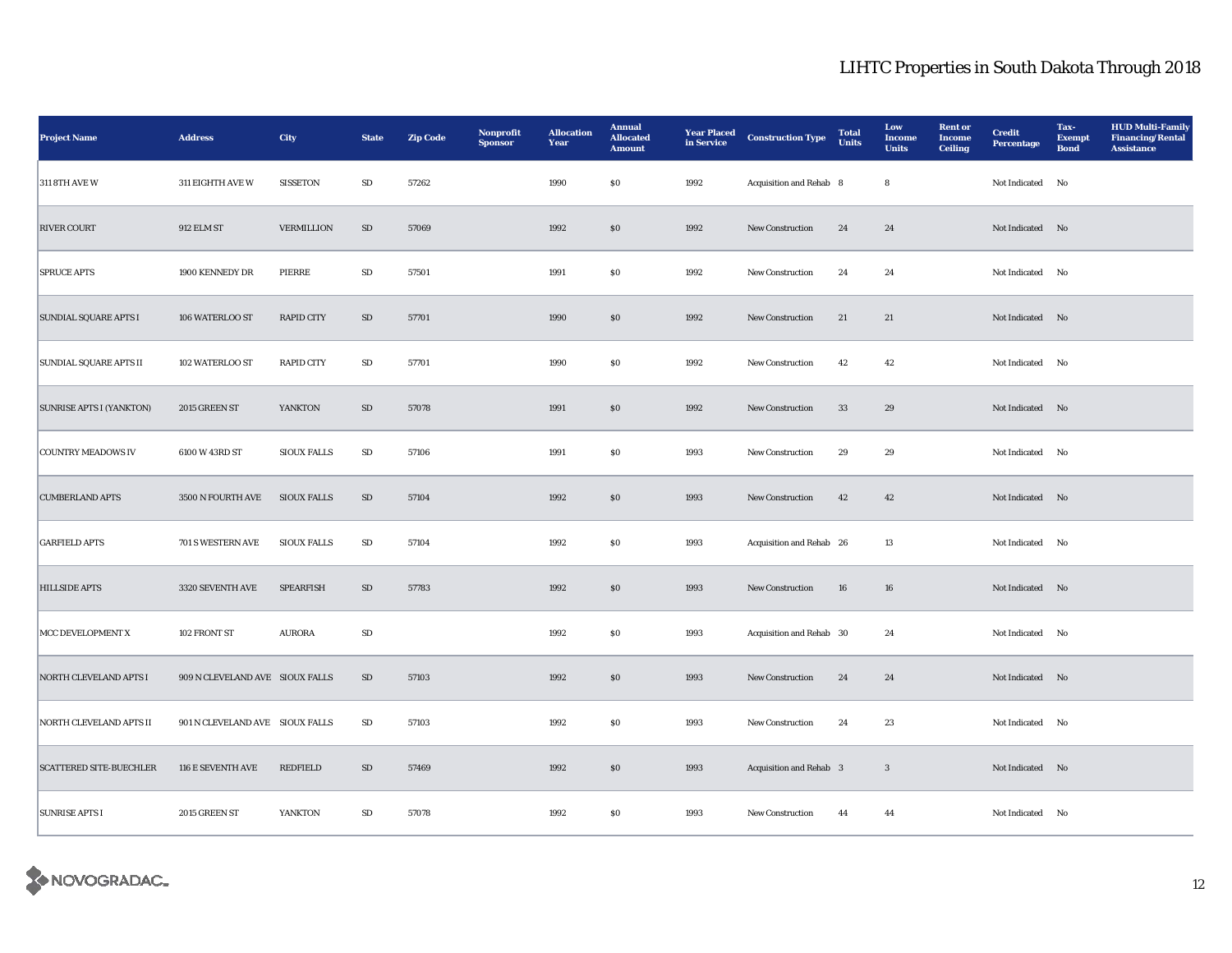| <b>Project Name</b>             | <b>Address</b>                  | City               | <b>State</b> | <b>Zip Code</b> | Nonprofit<br><b>Sponsor</b> | <b>Allocation</b><br>Year | <b>Annual</b><br><b>Allocated</b><br><b>Amount</b> | <b>Year Placed</b><br>in Service | <b>Construction Type</b> | <b>Total</b><br><b>Units</b> | Low<br><b>Income</b><br><b>Units</b> | <b>Rent or</b><br><b>Income</b><br><b>Ceiling</b> | <b>Credit</b><br><b>Percentage</b> | Tax-<br><b>Exempt</b><br><b>Bond</b> | <b>HUD Multi-Family</b><br><b>Financing/Rental</b><br><b>Assistance</b> |
|---------------------------------|---------------------------------|--------------------|--------------|-----------------|-----------------------------|---------------------------|----------------------------------------------------|----------------------------------|--------------------------|------------------------------|--------------------------------------|---------------------------------------------------|------------------------------------|--------------------------------------|-------------------------------------------------------------------------|
| <b>311 8TH AVE W</b>            | 311 EIGHTH AVE W                | <b>SISSETON</b>    | SD           | 57262           |                             | 1990                      | $\$0$                                              | 1992                             | Acquisition and Rehab 8  |                              | $\bf8$                               |                                                   | Not Indicated No                   |                                      |                                                                         |
| <b>RIVER COURT</b>              | $912$ ELM ST                    | VERMILLION         | ${\bf SD}$   | 57069           |                             | 1992                      | $\$0$                                              | 1992                             | New Construction         | 24                           | 24                                   |                                                   | Not Indicated No                   |                                      |                                                                         |
| <b>SPRUCE APTS</b>              | 1900 KENNEDY DR                 | PIERRE             | ${\bf SD}$   | 57501           |                             | 1991                      | $\$0$                                              | 1992                             | New Construction         | 24                           | 24                                   |                                                   | Not Indicated No                   |                                      |                                                                         |
| SUNDIAL SQUARE APTS I           | 106 WATERLOO ST                 | <b>RAPID CITY</b>  | ${\rm SD}$   | 57701           |                             | 1990                      | $\$0$                                              | 1992                             | New Construction         | 21                           | 21                                   |                                                   | Not Indicated No                   |                                      |                                                                         |
| <b>SUNDIAL SQUARE APTS II</b>   | 102 WATERLOO ST                 | <b>RAPID CITY</b>  | SD           | 57701           |                             | 1990                      | <b>SO</b>                                          | 1992                             | New Construction         | 42                           | 42                                   |                                                   | Not Indicated No                   |                                      |                                                                         |
| <b>SUNRISE APTS I (YANKTON)</b> | 2015 GREEN ST                   | YANKTON            | SD           | 57078           |                             | 1991                      | \$0                                                | 1992                             | New Construction         | 33                           | 29                                   |                                                   | Not Indicated No                   |                                      |                                                                         |
| <b>COUNTRY MEADOWS IV</b>       | 6100 W 43RD ST                  | <b>SIOUX FALLS</b> | $\rm SD$     | 57106           |                             | 1991                      | \$0                                                | 1993                             | <b>New Construction</b>  | 29                           | 29                                   |                                                   | Not Indicated No                   |                                      |                                                                         |
| <b>CUMBERLAND APTS</b>          | 3500 N FOURTH AVE               | <b>SIOUX FALLS</b> | SD           | 57104           |                             | 1992                      | \$0                                                | 1993                             | New Construction         | 42                           | 42                                   |                                                   | Not Indicated No                   |                                      |                                                                         |
| <b>GARFIELD APTS</b>            | 701 S WESTERN AVE               | <b>SIOUX FALLS</b> | ${\rm SD}$   | 57104           |                             | 1992                      | ${\bf S0}$                                         | 1993                             | Acquisition and Rehab 26 |                              | $13\,$                               |                                                   | Not Indicated No                   |                                      |                                                                         |
| <b>HILLSIDE APTS</b>            | 3320 SEVENTH AVE                | <b>SPEARFISH</b>   | SD           | 57783           |                             | 1992                      | $\$0$                                              | 1993                             | New Construction         | 16                           | 16                                   |                                                   | Not Indicated No                   |                                      |                                                                         |
| MCC DEVELOPMENT X               | 102 FRONT ST                    | <b>AURORA</b>      | ${\rm SD}$   |                 |                             | 1992                      | $\$0$                                              | 1993                             | Acquisition and Rehab 30 |                              | 24                                   |                                                   | Not Indicated No                   |                                      |                                                                         |
| NORTH CLEVELAND APTS I          | 909 N CLEVELAND AVE SIOUX FALLS |                    | SD           | 57103           |                             | 1992                      | $\$0$                                              | 1993                             | New Construction         | 24                           | 24                                   |                                                   | Not Indicated No                   |                                      |                                                                         |
| <b>NORTH CLEVELAND APTS II</b>  | 901 N CLEVELAND AVE SIOUX FALLS |                    | SD           | 57103           |                             | 1992                      | \$0                                                | 1993                             | <b>New Construction</b>  | 24                           | 23                                   |                                                   | Not Indicated No                   |                                      |                                                                         |
| <b>SCATTERED SITE-BUECHLER</b>  | 116 E SEVENTH AVE               | <b>REDFIELD</b>    | SD           | 57469           |                             | 1992                      | \$0                                                | 1993                             | Acquisition and Rehab 3  |                              | $\mathbf{3}$                         |                                                   | Not Indicated No                   |                                      |                                                                         |
| <b>SUNRISE APTS I</b>           | 2015 GREEN ST                   | YANKTON            | SD           | 57078           |                             | 1992                      | <b>SO</b>                                          | 1993                             | <b>New Construction</b>  | 44                           | 44                                   |                                                   | Not Indicated No                   |                                      |                                                                         |

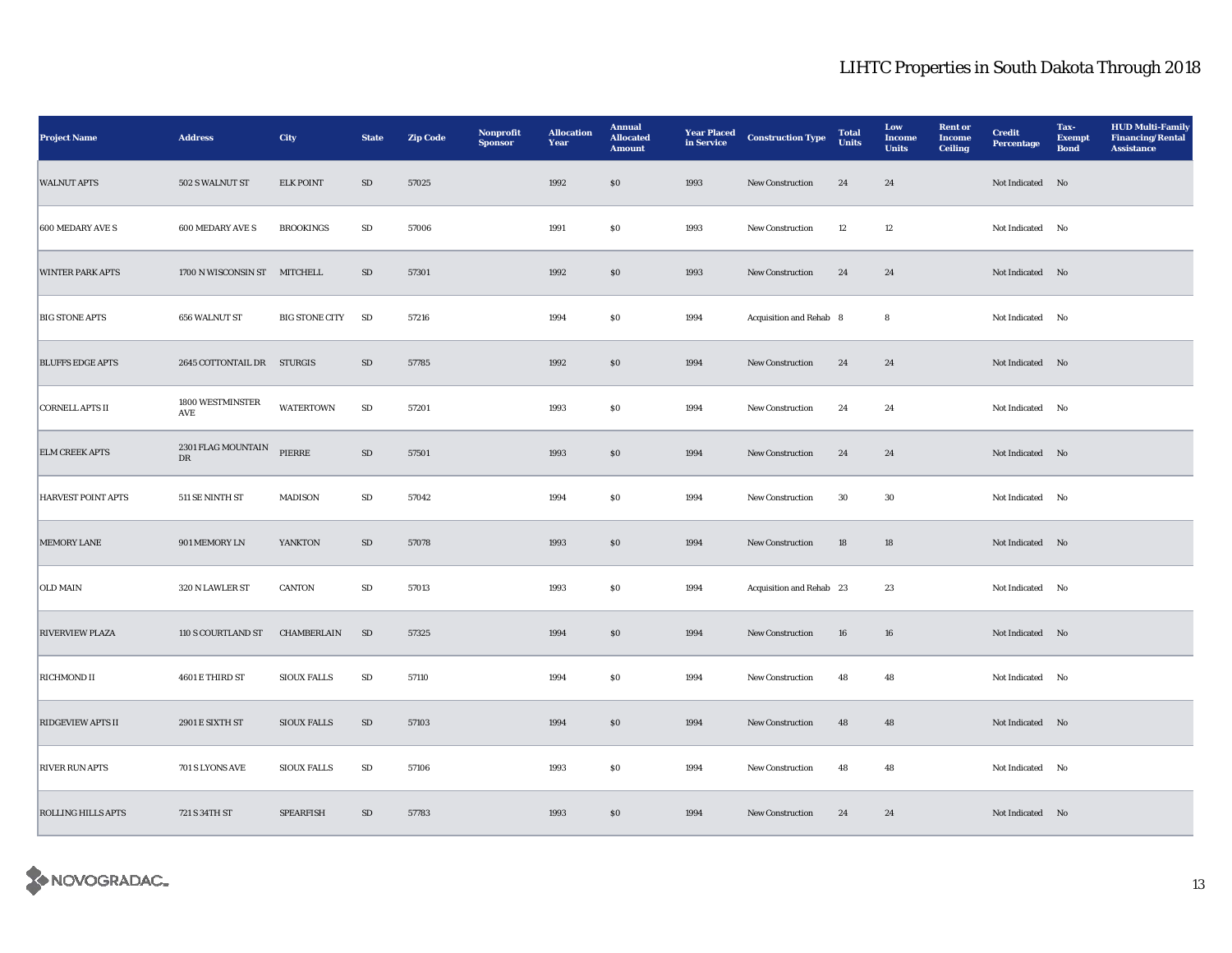| <b>Project Name</b>       | <b>Address</b>                 | <b>City</b>           | <b>State</b> | <b>Zip Code</b> | Nonprofit<br><b>Sponsor</b> | <b>Allocation</b><br>Year | <b>Annual</b><br><b>Allocated</b><br><b>Amount</b> | <b>Year Placed</b><br>in Service | <b>Construction Type</b> | <b>Total</b><br><b>Units</b> | Low<br><b>Income</b><br><b>Units</b> | <b>Rent or</b><br><b>Income</b><br><b>Ceiling</b> | <b>Credit</b><br><b>Percentage</b> | Tax-<br><b>Exempt</b><br><b>Bond</b> | <b>HUD Multi-Family</b><br><b>Financing/Rental</b><br><b>Assistance</b> |
|---------------------------|--------------------------------|-----------------------|--------------|-----------------|-----------------------------|---------------------------|----------------------------------------------------|----------------------------------|--------------------------|------------------------------|--------------------------------------|---------------------------------------------------|------------------------------------|--------------------------------------|-------------------------------------------------------------------------|
| <b>WALNUT APTS</b>        | 502 S WALNUT ST                | <b>ELK POINT</b>      | SD           | 57025           |                             | 1992                      | \$0                                                | 1993                             | New Construction         | 24                           | 24                                   |                                                   | Not Indicated No                   |                                      |                                                                         |
| 600 MEDARY AVE S          | <b>600 MEDARY AVE S</b>        | <b>BROOKINGS</b>      | ${\bf SD}$   | 57006           |                             | 1991                      | $\$0$                                              | 1993                             | New Construction         | 12                           | 12                                   |                                                   | Not Indicated No                   |                                      |                                                                         |
| <b>WINTER PARK APTS</b>   | 1700 N WISCONSIN ST MITCHELL   |                       | SD           | 57301           |                             | 1992                      | \$0                                                | 1993                             | New Construction         | 24                           | 24                                   |                                                   | Not Indicated No                   |                                      |                                                                         |
| <b>BIG STONE APTS</b>     | 656 WALNUT ST                  | <b>BIG STONE CITY</b> | <b>SD</b>    | 57216           |                             | 1994                      | $\$0$                                              | 1994                             | Acquisition and Rehab 8  |                              | 8                                    |                                                   | Not Indicated No                   |                                      |                                                                         |
| <b>BLUFFS EDGE APTS</b>   | 2645 COTTONTAIL DR STURGIS     |                       | SD           | 57785           |                             | 1992                      | \$0                                                | 1994                             | New Construction         | 24                           | 24                                   |                                                   | Not Indicated No                   |                                      |                                                                         |
| <b>CORNELL APTS II</b>    | 1800 WESTMINSTER<br>AVE        | <b>WATERTOWN</b>      | SD           | 57201           |                             | 1993                      | $\$0$                                              | 1994                             | New Construction         | 24                           | 24                                   |                                                   | Not Indicated No                   |                                      |                                                                         |
| <b>ELM CREEK APTS</b>     | $2301\rm\,FLAG$ MOUNTAIN<br>DR | PIERRE                | SD           | 57501           |                             | 1993                      | SO                                                 | 1994                             | New Construction         | 24                           | 24                                   |                                                   | Not Indicated No                   |                                      |                                                                         |
| <b>HARVEST POINT APTS</b> | 511 SE NINTH ST                | <b>MADISON</b>        | SD           | 57042           |                             | 1994                      | \$0                                                | 1994                             | New Construction         | 30                           | 30                                   |                                                   | Not Indicated No                   |                                      |                                                                         |
| <b>MEMORY LANE</b>        | 901 MEMORY LN                  | YANKTON               | SD           | 57078           |                             | 1993                      | \$0                                                | 1994                             | New Construction         | 18                           | 18                                   |                                                   | Not Indicated No                   |                                      |                                                                         |
| <b>OLD MAIN</b>           | 320 N LAWLER ST                | <b>CANTON</b>         | SD           | 57013           |                             | 1993                      | \$0                                                | 1994                             | Acquisition and Rehab 23 |                              | 23                                   |                                                   | Not Indicated No                   |                                      |                                                                         |
| <b>RIVERVIEW PLAZA</b>    | 110 S COURTLAND ST             | CHAMBERLAIN           | SD           | 57325           |                             | 1994                      | \$0                                                | 1994                             | New Construction         | 16                           | 16                                   |                                                   | Not Indicated No                   |                                      |                                                                         |
| <b>RICHMOND II</b>        | 4601 E THIRD ST                | <b>SIOUX FALLS</b>    | SD           | 57110           |                             | 1994                      | ${\bf S0}$                                         | 1994                             | New Construction         | 48                           | 48                                   |                                                   | Not Indicated No                   |                                      |                                                                         |
| <b>RIDGEVIEW APTS II</b>  | 2901 E SIXTH ST                | <b>SIOUX FALLS</b>    | SD           | 57103           |                             | 1994                      | \$0                                                | 1994                             | New Construction         | 48                           | 48                                   |                                                   | Not Indicated No                   |                                      |                                                                         |
| <b>RIVER RUN APTS</b>     | 701 S LYONS AVE                | <b>SIOUX FALLS</b>    | $\rm SD$     | 57106           |                             | 1993                      | ${\bf S0}$                                         | 1994                             | New Construction         | 48                           | $\bf 48$                             |                                                   | Not Indicated No                   |                                      |                                                                         |
| <b>ROLLING HILLS APTS</b> | 721 S 34TH ST                  | <b>SPEARFISH</b>      | SD           | 57783           |                             | 1993                      | \$0                                                | 1994                             | <b>New Construction</b>  | 24                           | 24                                   |                                                   | Not Indicated No                   |                                      |                                                                         |

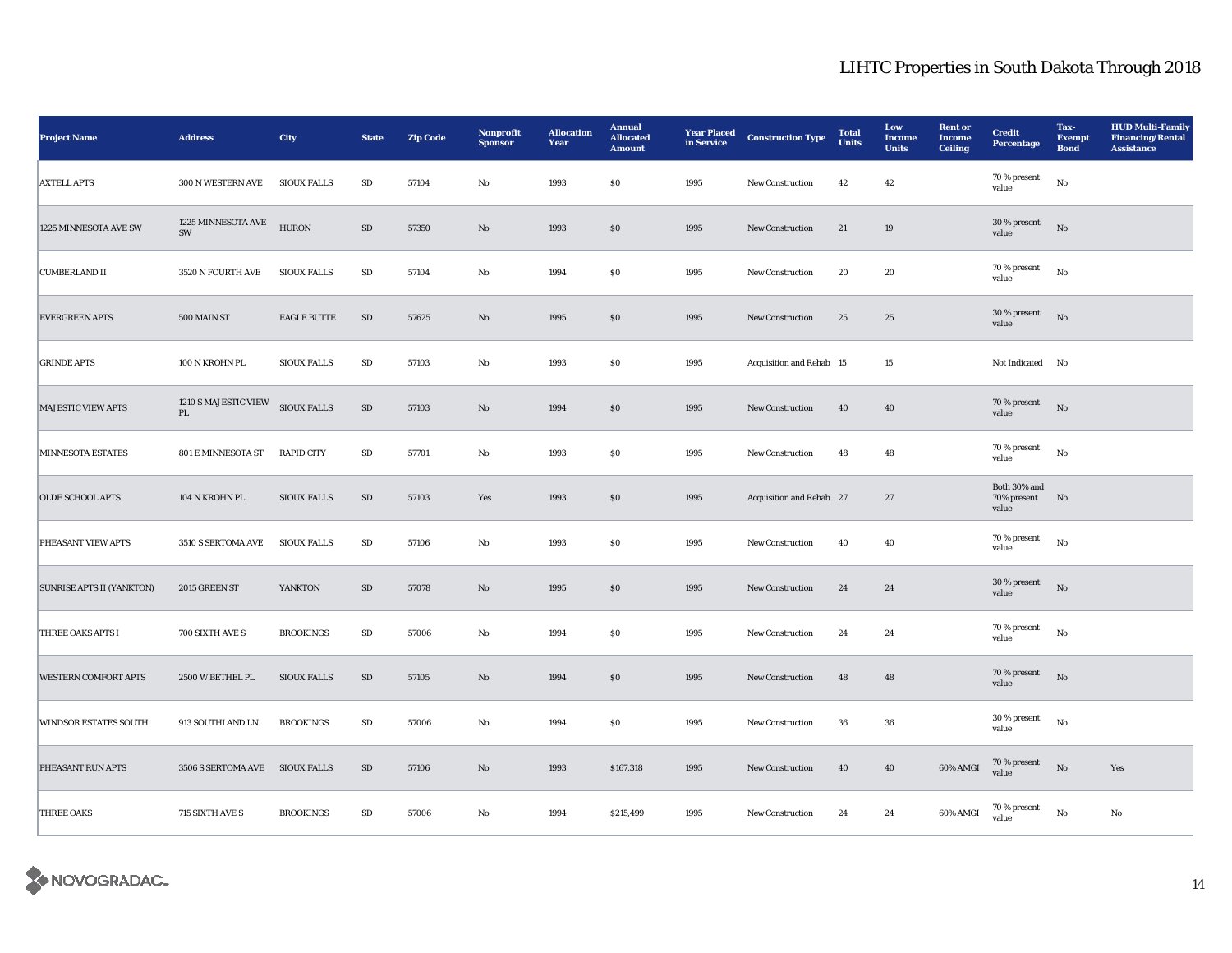| <b>Project Name</b>              | <b>Address</b>                 | City               | <b>State</b> | <b>Zip Code</b> | Nonprofit<br><b>Sponsor</b> | <b>Allocation</b><br>Year | <b>Annual</b><br><b>Allocated</b><br><b>Amount</b> | <b>Year Placed</b><br>in Service | <b>Construction Type</b> | <b>Total</b><br><b>Units</b> | Low<br><b>Income</b><br><b>Units</b> | <b>Rent or</b><br><b>Income</b><br><b>Ceiling</b> | <b>Credit</b><br><b>Percentage</b>   | Tax-<br><b>Exempt</b><br><b>Bond</b> | <b>HUD Multi-Family</b><br><b>Financing/Rental</b><br><b>Assistance</b> |
|----------------------------------|--------------------------------|--------------------|--------------|-----------------|-----------------------------|---------------------------|----------------------------------------------------|----------------------------------|--------------------------|------------------------------|--------------------------------------|---------------------------------------------------|--------------------------------------|--------------------------------------|-------------------------------------------------------------------------|
| <b>AXTELL APTS</b>               | 300 N WESTERN AVE              | <b>SIOUX FALLS</b> | ${\bf SD}$   | 57104           | No                          | 1993                      | $\$0$                                              | 1995                             | New Construction         | 42                           | 42                                   |                                                   | 70 % present<br>value                | $_{\rm No}$                          |                                                                         |
| 1225 MINNESOTA AVE SW            | 1225 MINNESOTA AVE<br>SW       | <b>HURON</b>       | ${\rm SD}$   | 57350           | $\mathbf{N}\mathbf{o}$      | 1993                      | $\$0$                                              | 1995                             | New Construction         | 21                           | 19                                   |                                                   | 30 % present<br>value                | No                                   |                                                                         |
| <b>CUMBERLAND II</b>             | 3520 N FOURTH AVE              | <b>SIOUX FALLS</b> | SD           | 57104           | No                          | 1994                      | $\$0$                                              | 1995                             | New Construction         | 20                           | 20                                   |                                                   | 70 % present<br>value                | No                                   |                                                                         |
| <b>EVERGREEN APTS</b>            | 500 MAIN ST                    | <b>EAGLE BUTTE</b> | SD           | 57625           | $\mathbf{N}\mathbf{o}$      | 1995                      | SO                                                 | 1995                             | <b>New Construction</b>  | 25                           | 25                                   |                                                   | 30 % present<br>value                | No                                   |                                                                         |
| <b>GRINDE APTS</b>               | 100 N KROHN PL                 | <b>SIOUX FALLS</b> | ${\bf SD}$   | 57103           | $\rm No$                    | 1993                      | ${\bf S0}$                                         | 1995                             | Acquisition and Rehab 15 |                              | $15\,$                               |                                                   | Not Indicated No                     |                                      |                                                                         |
| <b>MAJESTIC VIEW APTS</b>        | 1210 S MAJESTIC VIEW<br>PL     | <b>SIOUX FALLS</b> | $\rm SD$     | 57103           | No                          | 1994                      | \$0                                                | 1995                             | <b>New Construction</b>  | 40                           | 40                                   |                                                   | 70 % present<br>value                | No                                   |                                                                         |
| <b>MINNESOTA ESTATES</b>         | 801 E MINNESOTA ST             | <b>RAPID CITY</b>  | SD           | 57701           | No                          | 1993                      | \$0                                                | 1995                             | <b>New Construction</b>  | 48                           | 48                                   |                                                   | 70 % present<br>value                | $_{\rm No}$                          |                                                                         |
| <b>OLDE SCHOOL APTS</b>          | 104 N KROHN PL                 | <b>SIOUX FALLS</b> | SD           | 57103           | Yes                         | 1993                      | \$0                                                | 1995                             | Acquisition and Rehab 27 |                              | 27                                   |                                                   | Both 30% and<br>70% present<br>value | No                                   |                                                                         |
| PHEASANT VIEW APTS               | 3510 S SERTOMA AVE             | <b>SIOUX FALLS</b> | ${\bf SD}$   | 57106           | No                          | 1993                      | $\$0$                                              | 1995                             | New Construction         | 40                           | 40                                   |                                                   | 70 % present<br>value                | $\mathbf{N}\mathbf{o}$               |                                                                         |
| <b>SUNRISE APTS II (YANKTON)</b> | 2015 GREEN ST                  | YANKTON            | ${\rm SD}$   | 57078           | $\mathbf{N}\mathbf{o}$      | 1995                      | $\$0$                                              | 1995                             | <b>New Construction</b>  | 24                           | 24                                   |                                                   | 30 % present<br>value                | $\mathbf{N}\mathbf{o}$               |                                                                         |
| <b>THREE OAKS APTS I</b>         | 700 SIXTH AVE S                | <b>BROOKINGS</b>   | ${\bf SD}$   | 57006           | No                          | 1994                      | $\$0$                                              | 1995                             | New Construction         | 24                           | 24                                   |                                                   | 70 % present<br>value                | $_{\rm No}$                          |                                                                         |
| <b>WESTERN COMFORT APTS</b>      | 2500 W BETHEL PL               | <b>SIOUX FALLS</b> | SD           | 57105           | No                          | 1994                      | SO                                                 | 1995                             | <b>New Construction</b>  | 48                           | 48                                   |                                                   | 70 % present<br>value                | No                                   |                                                                         |
| <b>WINDSOR ESTATES SOUTH</b>     | 913 SOUTHLAND LN               | <b>BROOKINGS</b>   | ${\bf SD}$   | 57006           | No                          | 1994                      | $\$0$                                              | 1995                             | New Construction         | 36                           | 36                                   |                                                   | 30 % present<br>value                | $\mathbf{N}\mathbf{o}$               |                                                                         |
| PHEASANT RUN APTS                | 3506 S SERTOMA AVE SIOUX FALLS |                    | SD           | 57106           | $\mathbf{N}\mathbf{o}$      | 1993                      | \$167,318                                          | 1995                             | <b>New Construction</b>  | 40                           | 40                                   | 60% AMGI                                          | 70 % present<br>value                | No                                   | Yes                                                                     |
| <b>THREE OAKS</b>                | 715 SIXTH AVE S                | <b>BROOKINGS</b>   | SD           | 57006           | No                          | 1994                      | \$215,499                                          | 1995                             | <b>New Construction</b>  | 24                           | 24                                   | 60% AMGI                                          | $70$ % present<br>value              | No                                   | No                                                                      |

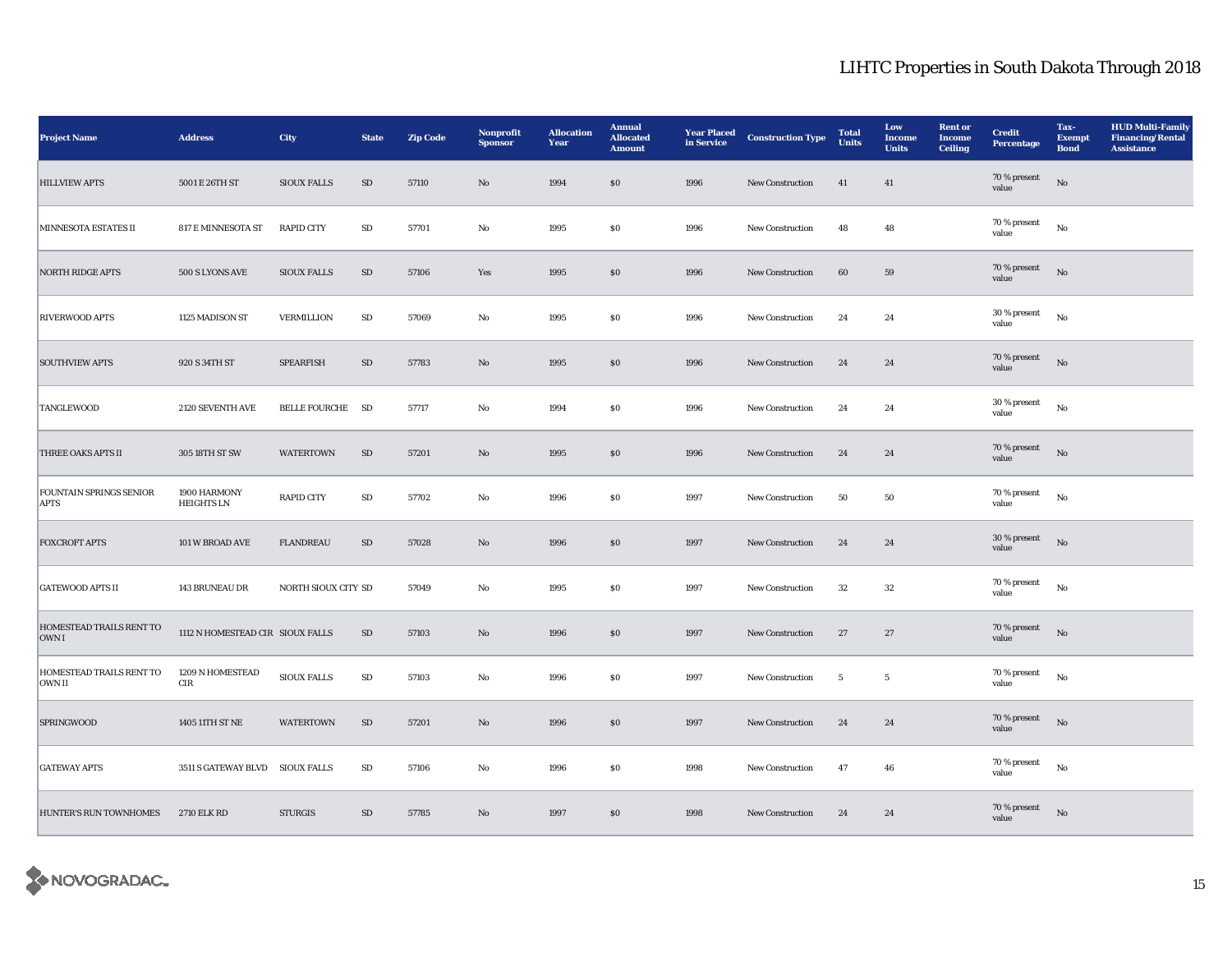| <b>Project Name</b>                           | <b>Address</b>                   | <b>City</b>         | <b>State</b> | <b>Zip Code</b> | Nonprofit<br><b>Sponsor</b> | <b>Allocation</b><br>Year | <b>Annual</b><br><b>Allocated</b><br><b>Amount</b> | <b>Year Placed</b><br>in Service | <b>Construction Type</b> | <b>Total</b><br><b>Units</b> | Low<br><b>Income</b><br><b>Units</b> | <b>Rent or</b><br><b>Income</b><br>Ceiling | <b>Credit</b><br>Percentage | Tax-<br><b>Exempt</b><br><b>Bond</b> | <b>HUD Multi-Family</b><br><b>Financing/Rental</b><br><b>Assistance</b> |
|-----------------------------------------------|----------------------------------|---------------------|--------------|-----------------|-----------------------------|---------------------------|----------------------------------------------------|----------------------------------|--------------------------|------------------------------|--------------------------------------|--------------------------------------------|-----------------------------|--------------------------------------|-------------------------------------------------------------------------|
| <b>HILLVIEW APTS</b>                          | 5001 E 26TH ST                   | <b>SIOUX FALLS</b>  | SD           | 57110           | No                          | 1994                      | \$0                                                | 1996                             | <b>New Construction</b>  | 41                           | 41                                   |                                            | 70 % present<br>value       | No                                   |                                                                         |
| MINNESOTA ESTATES II                          | 817 E MINNESOTA ST               | <b>RAPID CITY</b>   | ${\rm SD}$   | 57701           | $_{\rm No}$                 | 1995                      | $\$0$                                              | 1996                             | New Construction         | 48                           | 48                                   |                                            | $70$ % present<br>value     | $_{\rm No}$                          |                                                                         |
| <b>NORTH RIDGE APTS</b>                       | 500 S LYONS AVE                  | <b>SIOUX FALLS</b>  | $\rm SD$     | 57106           | Yes                         | 1995                      | $\$0$                                              | 1996                             | New Construction         | 60                           | 59                                   |                                            | 70 % present<br>value       | $_{\rm No}$                          |                                                                         |
| <b>RIVERWOOD APTS</b>                         | 1125 MADISON ST                  | VERMILLION          | ${\bf SD}$   | 57069           | No                          | 1995                      | $\$0$                                              | 1996                             | New Construction         | 24                           | 24                                   |                                            | 30 % present<br>value       | $_{\rm No}$                          |                                                                         |
| <b>SOUTHVIEW APTS</b>                         | 920 S 34TH ST                    | <b>SPEARFISH</b>    | ${\bf SD}$   | 57783           | $\rm No$                    | 1995                      | $\$0$                                              | 1996                             | New Construction         | 24                           | 24                                   |                                            | 70 % present<br>value       | $\rm No$                             |                                                                         |
| <b>TANGLEWOOD</b>                             | 2120 SEVENTH AVE                 | BELLE FOURCHE SD    |              | 57717           | No                          | 1994                      | \$0                                                | 1996                             | New Construction         | 24                           | 24                                   |                                            | 30 % present<br>value       | No                                   |                                                                         |
| THREE OAKS APTS II                            | 305 18TH ST SW                   | WATERTOWN           | SD           | 57201           | No                          | 1995                      | \$0                                                | 1996                             | New Construction         | 24                           | 24                                   |                                            | 70 % present<br>value       | $\rm No$                             |                                                                         |
| <b>FOUNTAIN SPRINGS SENIOR</b><br><b>APTS</b> | 1900 HARMONY<br>HEIGHTS LN       | <b>RAPID CITY</b>   | ${\bf SD}$   | 57702           | No                          | 1996                      | $\$0$                                              | 1997                             | New Construction         | 50                           | 50                                   |                                            | 70 % present<br>value       | $_{\rm No}$                          |                                                                         |
| <b>FOXCROFT APTS</b>                          | 101 W BROAD AVE                  | <b>FLANDREAU</b>    | SD           | 57028           | No                          | 1996                      | \$0                                                | 1997                             | <b>New Construction</b>  | 24                           | 24                                   |                                            | 30 % present<br>value       | $_{\rm No}$                          |                                                                         |
| <b>GATEWOOD APTS II</b>                       | 143 BRUNEAU DR                   | NORTH SIOUX CITY SD |              | 57049           | No                          | 1995                      | $\$0$                                              | 1997                             | New Construction         | $32\,$                       | 32                                   |                                            | 70 % present<br>value       | $_{\rm No}$                          |                                                                         |
| HOMESTEAD TRAILS RENT TO<br>OWN I             | 1112 N HOMESTEAD CIR SIOUX FALLS |                     | SD           | 57103           | $\mathbf{No}$               | 1996                      | $\$0$                                              | 1997                             | New Construction         | 27                           | $27\,$                               |                                            | 70 % present<br>value       | $_{\rm No}$                          |                                                                         |
| HOMESTEAD TRAILS RENT TO<br>OWN II            | 1209 N HOMESTEAD<br>$_{\rm CIR}$ | <b>SIOUX FALLS</b>  | ${\bf SD}$   | 57103           | No                          | 1996                      | \$0                                                | 1997                             | New Construction         | $5\phantom{.0}$              | $5\phantom{.0}$                      |                                            | 70 % present<br>value       | No                                   |                                                                         |
| <b>SPRINGWOOD</b>                             | 1405 11TH ST NE                  | <b>WATERTOWN</b>    | $\rm SD$     | 57201           | No                          | 1996                      | $\$0$                                              | 1997                             | New Construction         | 24                           | 24                                   |                                            | 70 % present<br>value       | No                                   |                                                                         |
| <b>GATEWAY APTS</b>                           | 3511 S GATEWAY BLVD SIOUX FALLS  |                     | SD           | 57106           | No                          | 1996                      | \$0                                                | 1998                             | <b>New Construction</b>  | 47                           | 46                                   |                                            | 70 % present<br>value       | $_{\rm No}$                          |                                                                         |
| HUNTER'S RUN TOWNHOMES                        | <b>2710 ELK RD</b>               | <b>STURGIS</b>      | SD           | 57785           | No                          | 1997                      | S <sub>0</sub>                                     | 1998                             | <b>New Construction</b>  | 24                           | 24                                   |                                            | 70 % present<br>value       | No                                   |                                                                         |

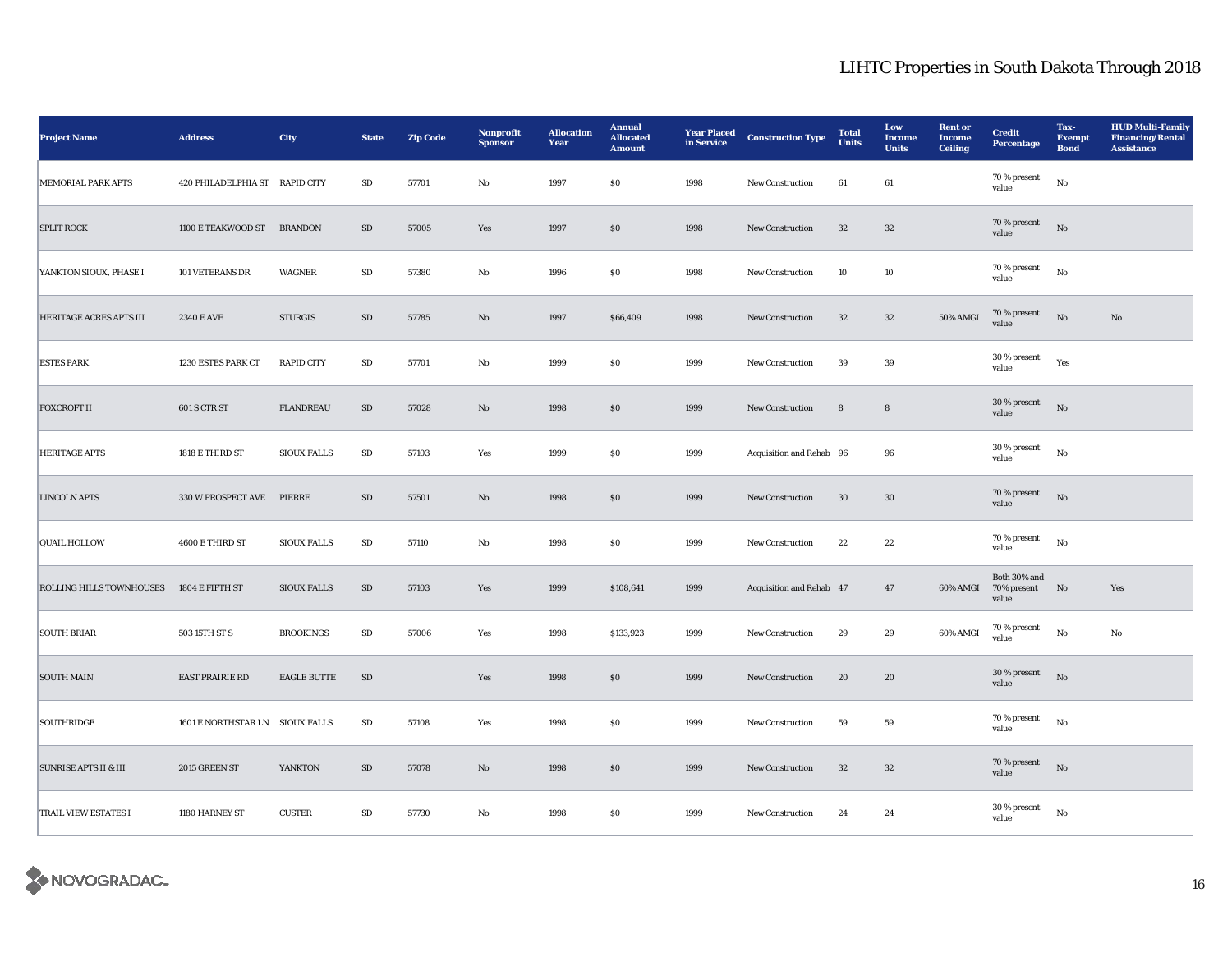| <b>Project Name</b>              | <b>Address</b>                  | City               | <b>State</b> | <b>Zip Code</b> | Nonprofit<br><b>Sponsor</b> | <b>Allocation</b><br>Year | <b>Annual</b><br><b>Allocated</b><br><b>Amount</b> | <b>Year Placed</b><br>in Service | <b>Construction Type</b> | <b>Total</b><br><b>Units</b> | Low<br><b>Income</b><br><b>Units</b> | <b>Rent or</b><br><b>Income</b><br><b>Ceiling</b> | <b>Credit</b><br>Percentage             | Tax-<br><b>Exempt</b><br><b>Bond</b> | <b>HUD Multi-Family</b><br><b>Financing/Rental</b><br><b>Assistance</b> |
|----------------------------------|---------------------------------|--------------------|--------------|-----------------|-----------------------------|---------------------------|----------------------------------------------------|----------------------------------|--------------------------|------------------------------|--------------------------------------|---------------------------------------------------|-----------------------------------------|--------------------------------------|-------------------------------------------------------------------------|
| <b>MEMORIAL PARK APTS</b>        | 420 PHILADELPHIA ST RAPID CITY  |                    | SD           | 57701           | No                          | 1997                      | \$0                                                | 1998                             | <b>New Construction</b>  | 61                           | 61                                   |                                                   | 70 % present<br>value                   | $_{\rm No}$                          |                                                                         |
| <b>SPLIT ROCK</b>                | 1100 E TEAKWOOD ST BRANDON      |                    | $\rm SD$     | 57005           | Yes                         | 1997                      | $\$0$                                              | 1998                             | New Construction         | 32                           | $32\,$                               |                                                   | 70 % present<br>value                   | $_{\rm No}$                          |                                                                         |
| YANKTON SIOUX, PHASE I           | 101 VETERANS DR                 | <b>WAGNER</b>      | ${\bf SD}$   | 57380           | No                          | 1996                      | $\$0$                                              | 1998                             | <b>New Construction</b>  | 10                           | 10                                   |                                                   | 70 % present<br>value                   | $_{\rm No}$                          |                                                                         |
| HERITAGE ACRES APTS III          | <b>2340 E AVE</b>               | <b>STURGIS</b>     | ${\rm SD}$   | 57785           | $\mathbf{N}\mathbf{o}$      | 1997                      | \$66,409                                           | 1998                             | New Construction         | $32\,$                       | $32\,$                               | 50% AMGI                                          | 70 % present<br>value                   | $\rm No$                             | $\mathbf{N}\mathbf{o}$                                                  |
| <b>ESTES PARK</b>                | 1230 ESTES PARK CT              | <b>RAPID CITY</b>  | $\rm SD$     | 57701           | $\mathbf{No}$               | 1999                      | $\$0$                                              | 1999                             | New Construction         | 39                           | $39\,$                               |                                                   | 30 % present<br>value                   | Yes                                  |                                                                         |
| <b>FOXCROFT II</b>               | 601 S CTR ST                    | <b>FLANDREAU</b>   | ${\rm SD}$   | 57028           | $\mathbf{N}\mathbf{o}$      | 1998                      | \$0                                                | 1999                             | <b>New Construction</b>  | 8                            | $\bf8$                               |                                                   | 30 % present<br>value                   | No                                   |                                                                         |
| <b>HERITAGE APTS</b>             | 1818 E THIRD ST                 | <b>SIOUX FALLS</b> | ${\bf SD}$   | 57103           | Yes                         | 1999                      | \$0                                                | 1999                             | Acquisition and Rehab 96 |                              | 96                                   |                                                   | 30 % present<br>value                   | No                                   |                                                                         |
| <b>LINCOLN APTS</b>              | 330 W PROSPECT AVE              | PIERRE             | ${\rm SD}$   | 57501           | $\mathbf{No}$               | 1998                      | \$0                                                | 1999                             | New Construction         | 30                           | $30\,$                               |                                                   | 70 % present<br>value                   | $\rm No$                             |                                                                         |
| <b>QUAIL HOLLOW</b>              | 4600 E THIRD ST                 | <b>SIOUX FALLS</b> | SD           | 57110           | No                          | 1998                      | \$0                                                | 1999                             | <b>New Construction</b>  | 22                           | $\bf 22$                             |                                                   | $70$ % present<br>value                 | $_{\rm No}$                          |                                                                         |
| ROLLING HILLS TOWNHOUSES         | 1804 E FIFTH ST                 | <b>SIOUX FALLS</b> | $\rm SD$     | 57103           | Yes                         | 1999                      | \$108,641                                          | 1999                             | Acquisition and Rehab 47 |                              | 47                                   | 60% AMGI                                          | Both 30% and<br>70% present No<br>value |                                      | Yes                                                                     |
| <b>SOUTH BRIAR</b>               | 503 15TH ST S                   | <b>BROOKINGS</b>   | ${\bf SD}$   | 57006           | Yes                         | 1998                      | \$133,923                                          | 1999                             | <b>New Construction</b>  | 29                           | 29                                   | 60% AMGI                                          | $70\,\%$ present<br>value               | $_{\rm No}$                          | $\mathbf{No}$                                                           |
| <b>SOUTH MAIN</b>                | EAST PRAIRIE RD                 | <b>EAGLE BUTTE</b> | ${\rm SD}$   |                 | Yes                         | 1998                      | \$0                                                | 1999                             | New Construction         | 20                           | 20                                   |                                                   | 30 % present<br>value                   | No                                   |                                                                         |
| <b>SOUTHRIDGE</b>                | 1601 E NORTHSTAR LN SIOUX FALLS |                    | ${\bf SD}$   | 57108           | Yes                         | 1998                      | $\$0$                                              | 1999                             | New Construction         | 59                           | 59                                   |                                                   | 70 % present<br>value                   | No                                   |                                                                         |
| <b>SUNRISE APTS II &amp; III</b> | 2015 GREEN ST                   | YANKTON            | ${\rm SD}$   | 57078           | $\mathbf{N}\mathbf{o}$      | 1998                      | \$0                                                | 1999                             | <b>New Construction</b>  | 32                           | $32\,$                               |                                                   | 70 % present<br>value                   | No                                   |                                                                         |
| <b>TRAIL VIEW ESTATES I</b>      | 1180 HARNEY ST                  | <b>CUSTER</b>      | ${\rm SD}$   | 57730           | No                          | 1998                      | S <sub>0</sub>                                     | 1999                             | <b>New Construction</b>  | 24                           | 24                                   |                                                   | 30 % present<br>value                   | No                                   |                                                                         |

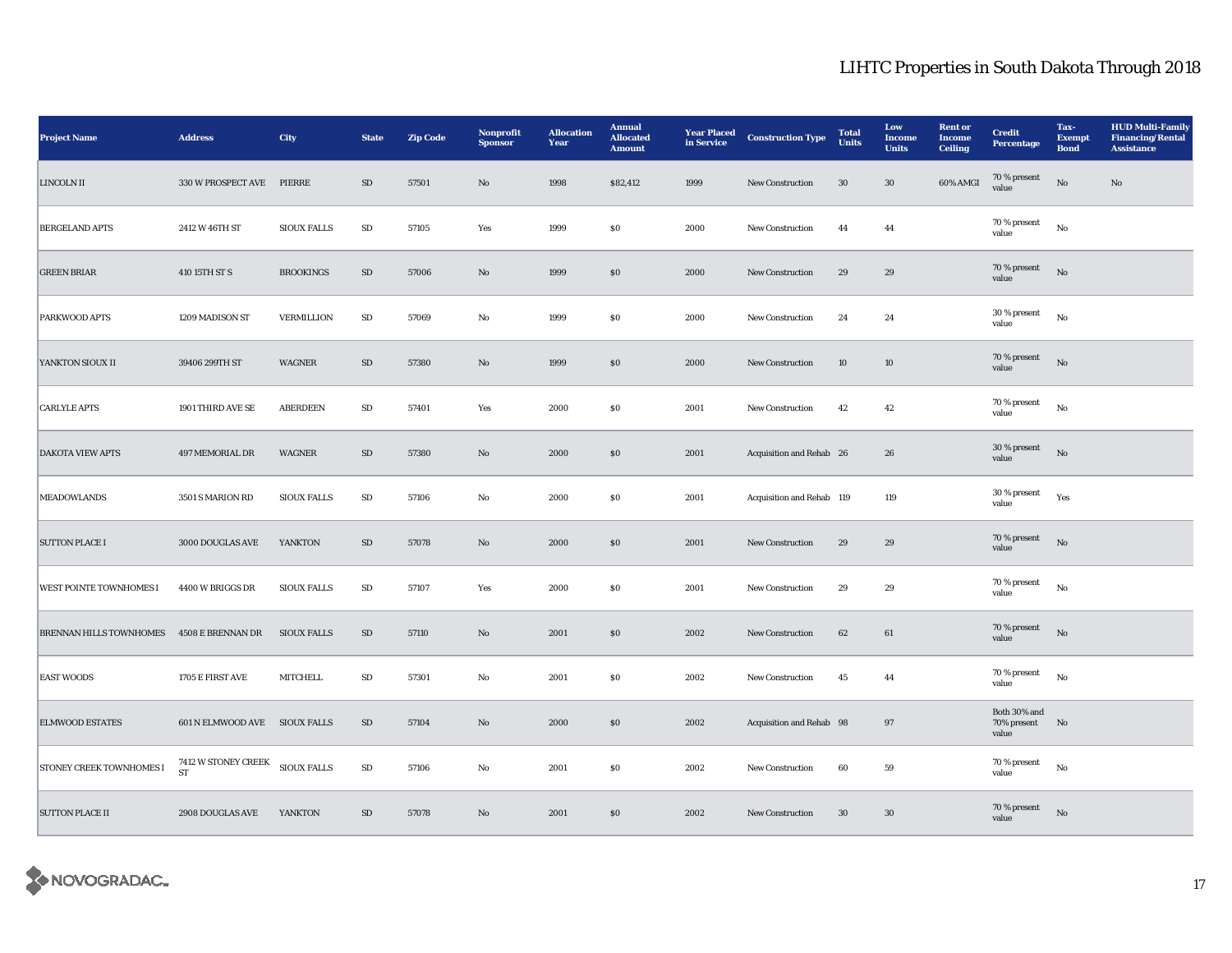| <b>Project Name</b>            | <b>Address</b>                    | City               | <b>State</b> | <b>Zip Code</b> | Nonprofit<br><b>Sponsor</b> | <b>Allocation</b><br>Year | <b>Annual</b><br><b>Allocated</b><br><b>Amount</b> | <b>Year Placed</b><br>in Service | <b>Construction Type</b>  | <b>Total</b><br><b>Units</b> | Low<br><b>Income</b><br><b>Units</b> | <b>Rent or</b><br><b>Income</b><br><b>Ceiling</b> | <b>Credit</b><br><b>Percentage</b>      | Tax-<br><b>Exempt</b><br><b>Bond</b> | <b>HUD Multi-Family</b><br><b>Financing/Rental</b><br><b>Assistance</b> |
|--------------------------------|-----------------------------------|--------------------|--------------|-----------------|-----------------------------|---------------------------|----------------------------------------------------|----------------------------------|---------------------------|------------------------------|--------------------------------------|---------------------------------------------------|-----------------------------------------|--------------------------------------|-------------------------------------------------------------------------|
| <b>LINCOLN II</b>              | 330 W PROSPECT AVE                | PIERRE             | ${\rm SD}$   | 57501           | No                          | 1998                      | \$82,412                                           | 1999                             | <b>New Construction</b>   | 30                           | 30                                   | 60% AMGI                                          | 70 % present<br>value                   | $\rm No$                             | No                                                                      |
| <b>BERGELAND APTS</b>          | 2412 W 46TH ST                    | <b>SIOUX FALLS</b> | ${\bf SD}$   | 57105           | Yes                         | 1999                      | \$0                                                | 2000                             | New Construction          | 44                           | 44                                   |                                                   | 70 % present<br>value                   | $_{\rm No}$                          |                                                                         |
| <b>GREEN BRIAR</b>             | 410 15TH ST S                     | <b>BROOKINGS</b>   | SD           | 57006           | No                          | 1999                      | \$0                                                | 2000                             | <b>New Construction</b>   | 29                           | 29                                   |                                                   | 70 % present<br>value                   | $\rm No$                             |                                                                         |
| <b>PARKWOOD APTS</b>           | 1209 MADISON ST                   | <b>VERMILLION</b>  | SD           | 57069           | No                          | 1999                      | $\$0$                                              | 2000                             | New Construction          | 24                           | 24                                   |                                                   | 30 % present<br>value                   | $_{\rm No}$                          |                                                                         |
| YANKTON SIOUX II               | 39406 299TH ST                    | <b>WAGNER</b>      | SD           | 57380           | No                          | 1999                      | \$0                                                | 2000                             | <b>New Construction</b>   | 10                           | 10                                   |                                                   | 70 % present<br>value                   | $\rm No$                             |                                                                         |
| <b>CARLYLE APTS</b>            | 1901 THIRD AVE SE                 | <b>ABERDEEN</b>    | $\rm SD$     | 57401           | Yes                         | 2000                      | \$0                                                | 2001                             | New Construction          | 42                           | 42                                   |                                                   | 70 % present<br>value                   | No                                   |                                                                         |
| <b>DAKOTA VIEW APTS</b>        | 497 MEMORIAL DR                   | <b>WAGNER</b>      | SD           | 57380           | $\mathbf{No}$               | 2000                      | \$0                                                | 2001                             | Acquisition and Rehab 26  |                              | 26                                   |                                                   | 30 % present<br>value                   | No                                   |                                                                         |
| <b>MEADOWLANDS</b>             | 3501 S MARION RD                  | <b>SIOUX FALLS</b> | $\rm SD$     | 57106           | No                          | 2000                      | \$0                                                | 2001                             | Acquisition and Rehab 119 |                              | 119                                  |                                                   | 30 % present<br>value                   | Yes                                  |                                                                         |
| <b>SUTTON PLACE I</b>          | 3000 DOUGLAS AVE                  | <b>YANKTON</b>     | SD           | 57078           | No                          | 2000                      | \$0                                                | 2001                             | <b>New Construction</b>   | 29                           | 29                                   |                                                   | 70 % present<br>value                   | No                                   |                                                                         |
| <b>WEST POINTE TOWNHOMES I</b> | 4400 W BRIGGS DR                  | <b>SIOUX FALLS</b> | SD           | 57107           | Yes                         | 2000                      | \$0                                                | 2001                             | <b>New Construction</b>   | 29                           | 29                                   |                                                   | 70 % present<br>value                   | No                                   |                                                                         |
| BRENNAN HILLS TOWNHOMES        | 4508 E BRENNAN DR                 | <b>SIOUX FALLS</b> | ${\rm SD}$   | 57110           | $\mathbf{N}\mathbf{o}$      | 2001                      | \$0                                                | 2002                             | New Construction          | 62                           | 61                                   |                                                   | 70 % present<br>value                   | $_{\rm No}$                          |                                                                         |
| <b>EAST WOODS</b>              | 1705 E FIRST AVE                  | <b>MITCHELL</b>    | SD           | 57301           | No                          | 2001                      | \$0                                                | 2002                             | <b>New Construction</b>   | 45                           | 44                                   |                                                   | 70 % present<br>value                   | $_{\rm No}$                          |                                                                         |
| <b>ELMWOOD ESTATES</b>         | 601 N ELMWOOD AVE SIOUX FALLS     |                    | SD           | 57104           | $\mathbf{N}\mathbf{o}$      | 2000                      | \$0                                                | 2002                             | Acquisition and Rehab 98  |                              | 97                                   |                                                   | Both 30% and<br>70% present No<br>value |                                      |                                                                         |
| STONEY CREEK TOWNHOMES I       | 7412 W STONEY CREEK<br>${\rm ST}$ | <b>SIOUX FALLS</b> | ${\rm SD}$   | 57106           | $\rm No$                    | 2001                      | ${\bf S0}$                                         | 2002                             | New Construction          | 60                           | ${\bf 59}$                           |                                                   | 70 % present<br>value                   | $_{\rm No}$                          |                                                                         |
| <b>SUTTON PLACE II</b>         | 2908 DOUGLAS AVE                  | YANKTON            | $\rm SD$     | 57078           | $\mathbf{N}\mathbf{o}$      | 2001                      | \$0                                                | 2002                             | New Construction          | 30                           | 30                                   |                                                   | 70 % present<br>value                   | $_{\rm No}$                          |                                                                         |